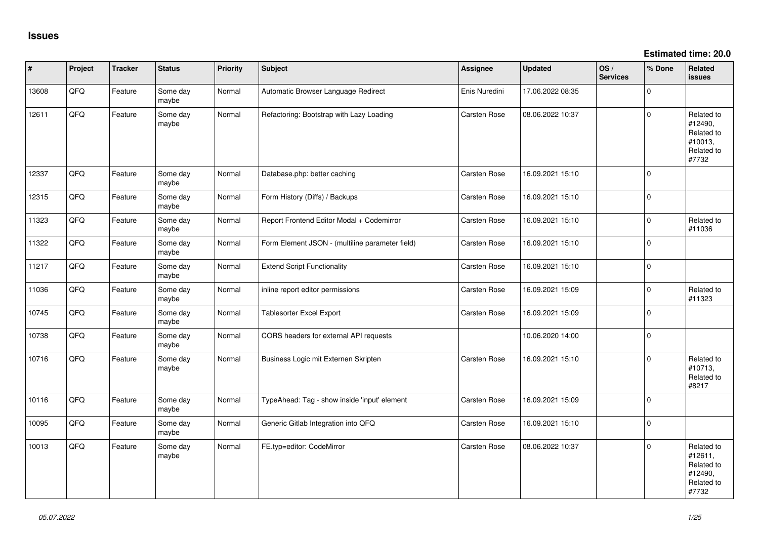**Estimated time: 20.0**

| #     | Project | <b>Tracker</b> | <b>Status</b>     | Priority | <b>Subject</b>                                  | <b>Assignee</b>     | <b>Updated</b>   | OS/<br><b>Services</b> | % Done       | Related<br><b>issues</b>                                              |
|-------|---------|----------------|-------------------|----------|-------------------------------------------------|---------------------|------------------|------------------------|--------------|-----------------------------------------------------------------------|
| 13608 | QFQ     | Feature        | Some day<br>maybe | Normal   | Automatic Browser Language Redirect             | Enis Nuredini       | 17.06.2022 08:35 |                        | $\Omega$     |                                                                       |
| 12611 | QFQ     | Feature        | Some day<br>maybe | Normal   | Refactoring: Bootstrap with Lazy Loading        | <b>Carsten Rose</b> | 08.06.2022 10:37 |                        | $\Omega$     | Related to<br>#12490,<br>Related to<br>#10013,<br>Related to<br>#7732 |
| 12337 | QFQ     | Feature        | Some day<br>maybe | Normal   | Database.php: better caching                    | Carsten Rose        | 16.09.2021 15:10 |                        | $\Omega$     |                                                                       |
| 12315 | QFQ     | Feature        | Some day<br>maybe | Normal   | Form History (Diffs) / Backups                  | Carsten Rose        | 16.09.2021 15:10 |                        | $\Omega$     |                                                                       |
| 11323 | QFQ     | Feature        | Some day<br>maybe | Normal   | Report Frontend Editor Modal + Codemirror       | Carsten Rose        | 16.09.2021 15:10 |                        | $\Omega$     | Related to<br>#11036                                                  |
| 11322 | QFQ     | Feature        | Some day<br>maybe | Normal   | Form Element JSON - (multiline parameter field) | <b>Carsten Rose</b> | 16.09.2021 15:10 |                        | $\Omega$     |                                                                       |
| 11217 | QFQ     | Feature        | Some day<br>maybe | Normal   | <b>Extend Script Functionality</b>              | Carsten Rose        | 16.09.2021 15:10 |                        | $\Omega$     |                                                                       |
| 11036 | QFQ     | Feature        | Some day<br>maybe | Normal   | inline report editor permissions                | Carsten Rose        | 16.09.2021 15:09 |                        | $\Omega$     | Related to<br>#11323                                                  |
| 10745 | QFQ     | Feature        | Some day<br>maybe | Normal   | <b>Tablesorter Excel Export</b>                 | <b>Carsten Rose</b> | 16.09.2021 15:09 |                        | $\Omega$     |                                                                       |
| 10738 | QFQ     | Feature        | Some day<br>maybe | Normal   | CORS headers for external API requests          |                     | 10.06.2020 14:00 |                        | $\Omega$     |                                                                       |
| 10716 | QFQ     | Feature        | Some day<br>maybe | Normal   | Business Logic mit Externen Skripten            | <b>Carsten Rose</b> | 16.09.2021 15:10 |                        | $\Omega$     | Related to<br>#10713,<br>Related to<br>#8217                          |
| 10116 | QFQ     | Feature        | Some day<br>maybe | Normal   | TypeAhead: Tag - show inside 'input' element    | <b>Carsten Rose</b> | 16.09.2021 15:09 |                        | $\mathbf{0}$ |                                                                       |
| 10095 | QFQ     | Feature        | Some day<br>maybe | Normal   | Generic Gitlab Integration into QFQ             | <b>Carsten Rose</b> | 16.09.2021 15:10 |                        | $\mathbf{0}$ |                                                                       |
| 10013 | QFQ     | Feature        | Some day<br>maybe | Normal   | FE.typ=editor: CodeMirror                       | <b>Carsten Rose</b> | 08.06.2022 10:37 |                        | $\Omega$     | Related to<br>#12611,<br>Related to<br>#12490,<br>Related to<br>#7732 |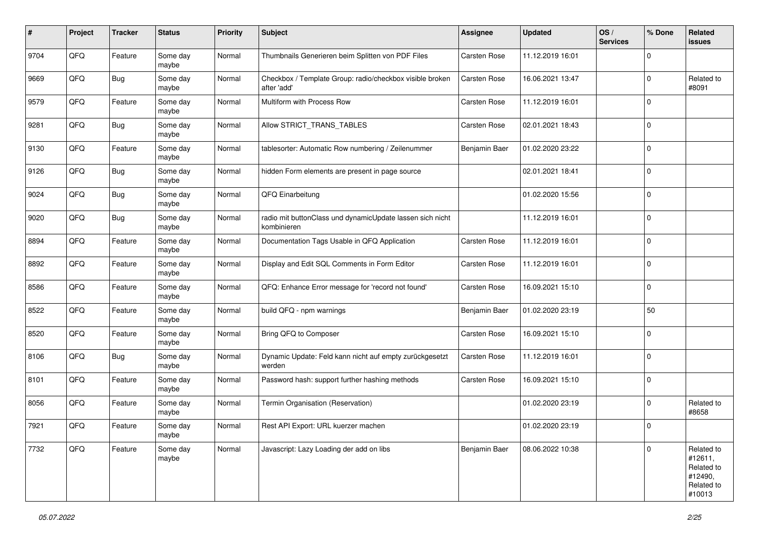| #    | Project | <b>Tracker</b> | <b>Status</b>     | <b>Priority</b> | <b>Subject</b>                                                           | <b>Assignee</b>     | <b>Updated</b>   | OS/<br><b>Services</b> | % Done      | Related<br>issues                                                      |
|------|---------|----------------|-------------------|-----------------|--------------------------------------------------------------------------|---------------------|------------------|------------------------|-------------|------------------------------------------------------------------------|
| 9704 | QFQ     | Feature        | Some day<br>maybe | Normal          | Thumbnails Generieren beim Splitten von PDF Files                        | <b>Carsten Rose</b> | 11.12.2019 16:01 |                        | $\Omega$    |                                                                        |
| 9669 | QFQ     | <b>Bug</b>     | Some day<br>maybe | Normal          | Checkbox / Template Group: radio/checkbox visible broken<br>after 'add'  | <b>Carsten Rose</b> | 16.06.2021 13:47 |                        | $\Omega$    | Related to<br>#8091                                                    |
| 9579 | QFQ     | Feature        | Some day<br>maybe | Normal          | Multiform with Process Row                                               | <b>Carsten Rose</b> | 11.12.2019 16:01 |                        | $\Omega$    |                                                                        |
| 9281 | QFQ     | Bug            | Some day<br>maybe | Normal          | Allow STRICT_TRANS_TABLES                                                | Carsten Rose        | 02.01.2021 18:43 |                        | $\mathbf 0$ |                                                                        |
| 9130 | QFQ     | Feature        | Some day<br>maybe | Normal          | tablesorter: Automatic Row numbering / Zeilenummer                       | Benjamin Baer       | 01.02.2020 23:22 |                        | $\Omega$    |                                                                        |
| 9126 | QFQ     | Bug            | Some day<br>maybe | Normal          | hidden Form elements are present in page source                          |                     | 02.01.2021 18:41 |                        | $\Omega$    |                                                                        |
| 9024 | QFQ     | <b>Bug</b>     | Some day<br>maybe | Normal          | QFQ Einarbeitung                                                         |                     | 01.02.2020 15:56 |                        | $\Omega$    |                                                                        |
| 9020 | QFQ     | Bug            | Some day<br>maybe | Normal          | radio mit buttonClass und dynamicUpdate lassen sich nicht<br>kombinieren |                     | 11.12.2019 16:01 |                        | $\mathbf 0$ |                                                                        |
| 8894 | QFQ     | Feature        | Some day<br>maybe | Normal          | Documentation Tags Usable in QFQ Application                             | Carsten Rose        | 11.12.2019 16:01 |                        | $\mathbf 0$ |                                                                        |
| 8892 | QFQ     | Feature        | Some day<br>maybe | Normal          | Display and Edit SQL Comments in Form Editor                             | Carsten Rose        | 11.12.2019 16:01 |                        | 0           |                                                                        |
| 8586 | QFQ     | Feature        | Some day<br>maybe | Normal          | QFQ: Enhance Error message for 'record not found'                        | Carsten Rose        | 16.09.2021 15:10 |                        | $\mathbf 0$ |                                                                        |
| 8522 | QFQ     | Feature        | Some day<br>maybe | Normal          | build QFQ - npm warnings                                                 | Benjamin Baer       | 01.02.2020 23:19 |                        | 50          |                                                                        |
| 8520 | QFQ     | Feature        | Some day<br>maybe | Normal          | Bring QFQ to Composer                                                    | <b>Carsten Rose</b> | 16.09.2021 15:10 |                        | $\Omega$    |                                                                        |
| 8106 | QFQ     | Bug            | Some day<br>maybe | Normal          | Dynamic Update: Feld kann nicht auf empty zurückgesetzt<br>werden        | <b>Carsten Rose</b> | 11.12.2019 16:01 |                        | $\Omega$    |                                                                        |
| 8101 | QFQ     | Feature        | Some day<br>maybe | Normal          | Password hash: support further hashing methods                           | <b>Carsten Rose</b> | 16.09.2021 15:10 |                        | $\mathbf 0$ |                                                                        |
| 8056 | QFQ     | Feature        | Some day<br>maybe | Normal          | Termin Organisation (Reservation)                                        |                     | 01.02.2020 23:19 |                        | $\Omega$    | Related to<br>#8658                                                    |
| 7921 | QFQ     | Feature        | Some day<br>maybe | Normal          | Rest API Export: URL kuerzer machen                                      |                     | 01.02.2020 23:19 |                        | l 0         |                                                                        |
| 7732 | QFQ     | Feature        | Some day<br>maybe | Normal          | Javascript: Lazy Loading der add on libs                                 | Benjamin Baer       | 08.06.2022 10:38 |                        | $\mathbf 0$ | Related to<br>#12611,<br>Related to<br>#12490,<br>Related to<br>#10013 |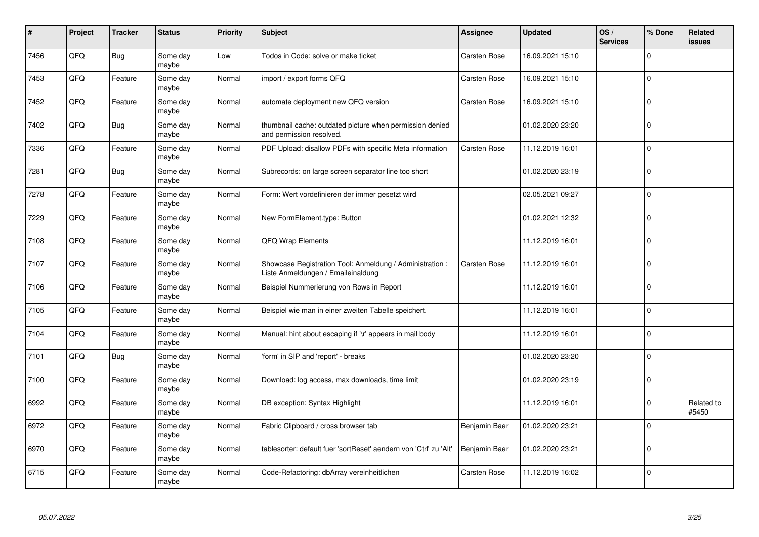| #    | Project | <b>Tracker</b> | <b>Status</b>     | Priority | <b>Subject</b>                                                                                 | <b>Assignee</b>     | <b>Updated</b>   | OS/<br><b>Services</b> | % Done      | Related<br><b>issues</b> |
|------|---------|----------------|-------------------|----------|------------------------------------------------------------------------------------------------|---------------------|------------------|------------------------|-------------|--------------------------|
| 7456 | QFQ     | <b>Bug</b>     | Some day<br>maybe | Low      | Todos in Code: solve or make ticket                                                            | <b>Carsten Rose</b> | 16.09.2021 15:10 |                        | $\Omega$    |                          |
| 7453 | QFQ     | Feature        | Some day<br>maybe | Normal   | import / export forms QFQ                                                                      | <b>Carsten Rose</b> | 16.09.2021 15:10 |                        | $\Omega$    |                          |
| 7452 | QFQ     | Feature        | Some day<br>maybe | Normal   | automate deployment new QFQ version                                                            | <b>Carsten Rose</b> | 16.09.2021 15:10 |                        | $\Omega$    |                          |
| 7402 | QFQ     | Bug            | Some day<br>maybe | Normal   | thumbnail cache: outdated picture when permission denied<br>and permission resolved.           |                     | 01.02.2020 23:20 |                        | $\Omega$    |                          |
| 7336 | QFQ     | Feature        | Some day<br>maybe | Normal   | PDF Upload: disallow PDFs with specific Meta information                                       | <b>Carsten Rose</b> | 11.12.2019 16:01 |                        | $\mathbf 0$ |                          |
| 7281 | QFQ     | <b>Bug</b>     | Some day<br>maybe | Normal   | Subrecords: on large screen separator line too short                                           |                     | 01.02.2020 23:19 |                        | $\Omega$    |                          |
| 7278 | QFQ     | Feature        | Some day<br>maybe | Normal   | Form: Wert vordefinieren der immer gesetzt wird                                                |                     | 02.05.2021 09:27 |                        | $\Omega$    |                          |
| 7229 | QFQ     | Feature        | Some day<br>maybe | Normal   | New FormElement.type: Button                                                                   |                     | 01.02.2021 12:32 |                        | $\Omega$    |                          |
| 7108 | QFQ     | Feature        | Some day<br>maybe | Normal   | QFQ Wrap Elements                                                                              |                     | 11.12.2019 16:01 |                        | $\Omega$    |                          |
| 7107 | QFQ     | Feature        | Some day<br>maybe | Normal   | Showcase Registration Tool: Anmeldung / Administration :<br>Liste Anmeldungen / Emaileinaldung | <b>Carsten Rose</b> | 11.12.2019 16:01 |                        | $\Omega$    |                          |
| 7106 | QFQ     | Feature        | Some day<br>maybe | Normal   | Beispiel Nummerierung von Rows in Report                                                       |                     | 11.12.2019 16:01 |                        | 0           |                          |
| 7105 | QFQ     | Feature        | Some day<br>maybe | Normal   | Beispiel wie man in einer zweiten Tabelle speichert.                                           |                     | 11.12.2019 16:01 |                        | $\mathbf 0$ |                          |
| 7104 | QFQ     | Feature        | Some day<br>maybe | Normal   | Manual: hint about escaping if '\r' appears in mail body                                       |                     | 11.12.2019 16:01 |                        | $\mathbf 0$ |                          |
| 7101 | QFQ     | <b>Bug</b>     | Some day<br>maybe | Normal   | 'form' in SIP and 'report' - breaks                                                            |                     | 01.02.2020 23:20 |                        | $\mathbf 0$ |                          |
| 7100 | QFQ     | Feature        | Some day<br>maybe | Normal   | Download: log access, max downloads, time limit                                                |                     | 01.02.2020 23:19 |                        | $\Omega$    |                          |
| 6992 | QFQ     | Feature        | Some day<br>maybe | Normal   | DB exception: Syntax Highlight                                                                 |                     | 11.12.2019 16:01 |                        | $\Omega$    | Related to<br>#5450      |
| 6972 | QFQ     | Feature        | Some day<br>maybe | Normal   | Fabric Clipboard / cross browser tab                                                           | Benjamin Baer       | 01.02.2020 23:21 |                        | $\Omega$    |                          |
| 6970 | QFQ     | Feature        | Some day<br>maybe | Normal   | tablesorter: default fuer 'sortReset' aendern von 'Ctrl' zu 'Alt'                              | Benjamin Baer       | 01.02.2020 23:21 |                        | $\Omega$    |                          |
| 6715 | QFQ     | Feature        | Some day<br>maybe | Normal   | Code-Refactoring: dbArray vereinheitlichen                                                     | Carsten Rose        | 11.12.2019 16:02 |                        | $\Omega$    |                          |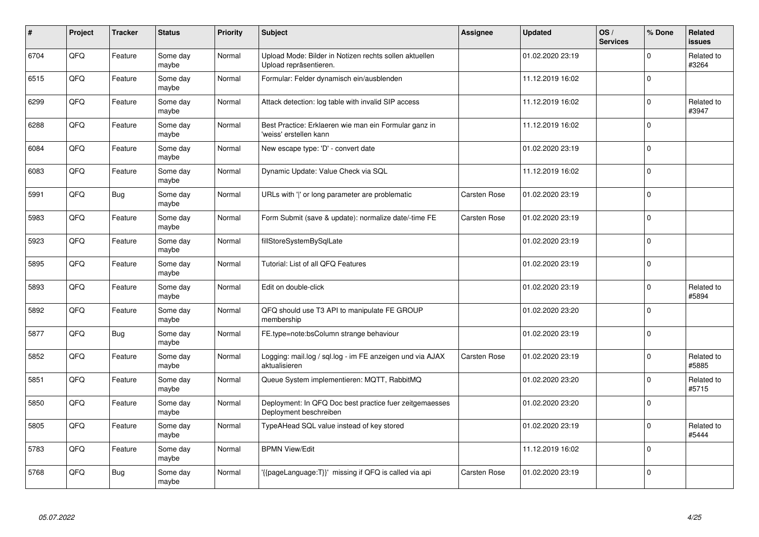| #    | Project | <b>Tracker</b> | <b>Status</b>     | <b>Priority</b> | <b>Subject</b>                                                                    | Assignee            | <b>Updated</b>   | OS/<br><b>Services</b> | % Done   | Related<br><b>issues</b> |
|------|---------|----------------|-------------------|-----------------|-----------------------------------------------------------------------------------|---------------------|------------------|------------------------|----------|--------------------------|
| 6704 | QFQ     | Feature        | Some day<br>maybe | Normal          | Upload Mode: Bilder in Notizen rechts sollen aktuellen<br>Upload repräsentieren.  |                     | 01.02.2020 23:19 |                        | $\Omega$ | Related to<br>#3264      |
| 6515 | QFQ     | Feature        | Some day<br>maybe | Normal          | Formular: Felder dynamisch ein/ausblenden                                         |                     | 11.12.2019 16:02 |                        | $\Omega$ |                          |
| 6299 | QFQ     | Feature        | Some day<br>maybe | Normal          | Attack detection: log table with invalid SIP access                               |                     | 11.12.2019 16:02 |                        | $\Omega$ | Related to<br>#3947      |
| 6288 | QFQ     | Feature        | Some day<br>maybe | Normal          | Best Practice: Erklaeren wie man ein Formular ganz in<br>'weiss' erstellen kann   |                     | 11.12.2019 16:02 |                        | $\Omega$ |                          |
| 6084 | QFQ     | Feature        | Some day<br>maybe | Normal          | New escape type: 'D' - convert date                                               |                     | 01.02.2020 23:19 |                        | 0        |                          |
| 6083 | QFQ     | Feature        | Some day<br>maybe | Normal          | Dynamic Update: Value Check via SQL                                               |                     | 11.12.2019 16:02 |                        | $\Omega$ |                          |
| 5991 | QFQ     | Bug            | Some day<br>maybe | Normal          | URLs with 'I' or long parameter are problematic                                   | <b>Carsten Rose</b> | 01.02.2020 23:19 |                        | $\Omega$ |                          |
| 5983 | QFQ     | Feature        | Some day<br>maybe | Normal          | Form Submit (save & update): normalize date/-time FE                              | <b>Carsten Rose</b> | 01.02.2020 23:19 |                        | $\Omega$ |                          |
| 5923 | QFQ     | Feature        | Some day<br>maybe | Normal          | fillStoreSystemBySqlLate                                                          |                     | 01.02.2020 23:19 |                        | $\Omega$ |                          |
| 5895 | QFQ     | Feature        | Some day<br>maybe | Normal          | Tutorial: List of all QFQ Features                                                |                     | 01.02.2020 23:19 |                        | $\Omega$ |                          |
| 5893 | QFQ     | Feature        | Some day<br>maybe | Normal          | Edit on double-click                                                              |                     | 01.02.2020 23:19 |                        | $\Omega$ | Related to<br>#5894      |
| 5892 | QFQ     | Feature        | Some day<br>maybe | Normal          | QFQ should use T3 API to manipulate FE GROUP<br>membership                        |                     | 01.02.2020 23:20 |                        | $\Omega$ |                          |
| 5877 | QFQ     | Bug            | Some day<br>maybe | Normal          | FE.type=note:bsColumn strange behaviour                                           |                     | 01.02.2020 23:19 |                        | $\Omega$ |                          |
| 5852 | QFQ     | Feature        | Some day<br>maybe | Normal          | Logging: mail.log / sql.log - im FE anzeigen und via AJAX<br>aktualisieren        | <b>Carsten Rose</b> | 01.02.2020 23:19 |                        | $\Omega$ | Related to<br>#5885      |
| 5851 | QFQ     | Feature        | Some day<br>maybe | Normal          | Queue System implementieren: MQTT, RabbitMQ                                       |                     | 01.02.2020 23:20 |                        | $\Omega$ | Related to<br>#5715      |
| 5850 | QFQ     | Feature        | Some day<br>maybe | Normal          | Deployment: In QFQ Doc best practice fuer zeitgemaesses<br>Deployment beschreiben |                     | 01.02.2020 23:20 |                        | $\Omega$ |                          |
| 5805 | QFQ     | Feature        | Some day<br>maybe | Normal          | TypeAHead SQL value instead of key stored                                         |                     | 01.02.2020 23:19 |                        | $\Omega$ | Related to<br>#5444      |
| 5783 | QFQ     | Feature        | Some day<br>maybe | Normal          | <b>BPMN View/Edit</b>                                                             |                     | 11.12.2019 16:02 |                        | $\Omega$ |                          |
| 5768 | QFQ     | Bug            | Some day<br>maybe | Normal          | {{pageLanguage:T}}' missing if QFQ is called via api                              | Carsten Rose        | 01.02.2020 23:19 |                        | $\Omega$ |                          |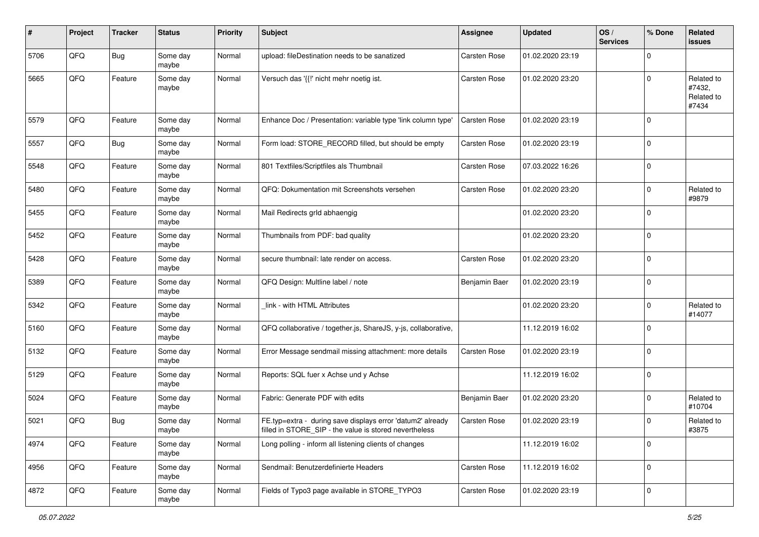| #    | Project | <b>Tracker</b> | <b>Status</b>     | <b>Priority</b> | Subject                                                                                                              | <b>Assignee</b>     | <b>Updated</b>   | OS/<br><b>Services</b> | % Done         | Related<br>issues                           |
|------|---------|----------------|-------------------|-----------------|----------------------------------------------------------------------------------------------------------------------|---------------------|------------------|------------------------|----------------|---------------------------------------------|
| 5706 | QFQ     | <b>Bug</b>     | Some day<br>maybe | Normal          | upload: fileDestination needs to be sanatized                                                                        | <b>Carsten Rose</b> | 01.02.2020 23:19 |                        | $\Omega$       |                                             |
| 5665 | QFQ     | Feature        | Some day<br>maybe | Normal          | Versuch das '{{!' nicht mehr noetig ist.                                                                             | <b>Carsten Rose</b> | 01.02.2020 23:20 |                        | $\Omega$       | Related to<br>#7432,<br>Related to<br>#7434 |
| 5579 | QFQ     | Feature        | Some day<br>maybe | Normal          | Enhance Doc / Presentation: variable type 'link column type'                                                         | <b>Carsten Rose</b> | 01.02.2020 23:19 |                        | $\Omega$       |                                             |
| 5557 | QFQ     | <b>Bug</b>     | Some day<br>maybe | Normal          | Form load: STORE RECORD filled, but should be empty                                                                  | <b>Carsten Rose</b> | 01.02.2020 23:19 |                        | $\mathbf 0$    |                                             |
| 5548 | QFQ     | Feature        | Some day<br>maybe | Normal          | 801 Textfiles/Scriptfiles als Thumbnail                                                                              | Carsten Rose        | 07.03.2022 16:26 |                        | $\Omega$       |                                             |
| 5480 | QFQ     | Feature        | Some day<br>maybe | Normal          | QFQ: Dokumentation mit Screenshots versehen                                                                          | <b>Carsten Rose</b> | 01.02.2020 23:20 |                        | $\Omega$       | Related to<br>#9879                         |
| 5455 | QFQ     | Feature        | Some day<br>maybe | Normal          | Mail Redirects grld abhaengig                                                                                        |                     | 01.02.2020 23:20 |                        | $\Omega$       |                                             |
| 5452 | QFQ     | Feature        | Some day<br>maybe | Normal          | Thumbnails from PDF: bad quality                                                                                     |                     | 01.02.2020 23:20 |                        | $\Omega$       |                                             |
| 5428 | QFQ     | Feature        | Some day<br>maybe | Normal          | secure thumbnail: late render on access.                                                                             | <b>Carsten Rose</b> | 01.02.2020 23:20 |                        | 0              |                                             |
| 5389 | QFQ     | Feature        | Some day<br>maybe | Normal          | QFQ Design: Multline label / note                                                                                    | Benjamin Baer       | 01.02.2020 23:19 |                        | $\mathbf 0$    |                                             |
| 5342 | QFQ     | Feature        | Some day<br>maybe | Normal          | link - with HTML Attributes                                                                                          |                     | 01.02.2020 23:20 |                        | $\mathbf 0$    | Related to<br>#14077                        |
| 5160 | QFQ     | Feature        | Some day<br>maybe | Normal          | QFQ collaborative / together.js, ShareJS, y-js, collaborative,                                                       |                     | 11.12.2019 16:02 |                        | $\mathbf 0$    |                                             |
| 5132 | QFQ     | Feature        | Some day<br>maybe | Normal          | Error Message sendmail missing attachment: more details                                                              | Carsten Rose        | 01.02.2020 23:19 |                        | $\Omega$       |                                             |
| 5129 | QFQ     | Feature        | Some day<br>maybe | Normal          | Reports: SQL fuer x Achse und y Achse                                                                                |                     | 11.12.2019 16:02 |                        | $\Omega$       |                                             |
| 5024 | QFQ     | Feature        | Some day<br>maybe | Normal          | Fabric: Generate PDF with edits                                                                                      | Benjamin Baer       | 01.02.2020 23:20 |                        | $\Omega$       | Related to<br>#10704                        |
| 5021 | QFQ     | Bug            | Some day<br>maybe | Normal          | FE.typ=extra - during save displays error 'datum2' already<br>filled in STORE_SIP - the value is stored nevertheless | Carsten Rose        | 01.02.2020 23:19 |                        | $\Omega$       | Related to<br>#3875                         |
| 4974 | QFQ     | Feature        | Some day<br>maybe | Normal          | Long polling - inform all listening clients of changes                                                               |                     | 11.12.2019 16:02 |                        | 0              |                                             |
| 4956 | QFQ     | Feature        | Some day<br>maybe | Normal          | Sendmail: Benutzerdefinierte Headers                                                                                 | Carsten Rose        | 11.12.2019 16:02 |                        | $\overline{0}$ |                                             |
| 4872 | QFQ     | Feature        | Some day<br>maybe | Normal          | Fields of Typo3 page available in STORE_TYPO3                                                                        | Carsten Rose        | 01.02.2020 23:19 |                        | $\overline{0}$ |                                             |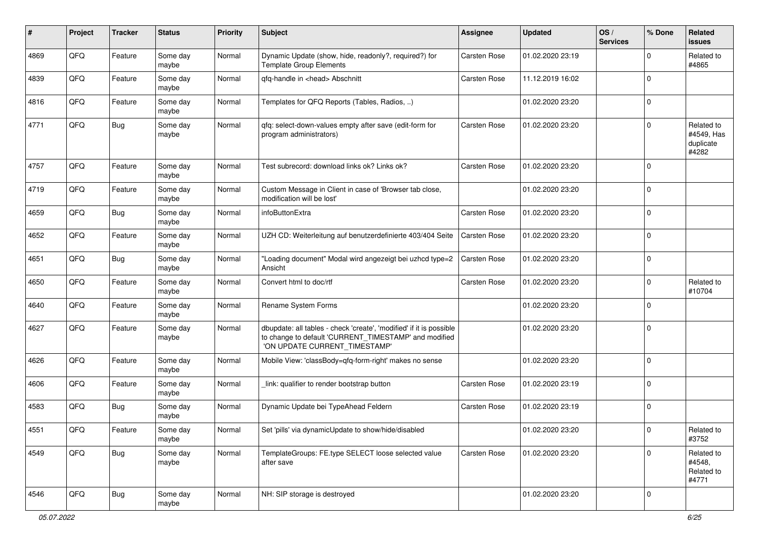| ∦    | Project | <b>Tracker</b> | <b>Status</b>     | <b>Priority</b> | <b>Subject</b>                                                                                                                                                | <b>Assignee</b>     | <b>Updated</b>   | OS/<br><b>Services</b> | % Done      | Related<br><b>issues</b>                       |
|------|---------|----------------|-------------------|-----------------|---------------------------------------------------------------------------------------------------------------------------------------------------------------|---------------------|------------------|------------------------|-------------|------------------------------------------------|
| 4869 | QFQ     | Feature        | Some day<br>maybe | Normal          | Dynamic Update (show, hide, readonly?, required?) for<br><b>Template Group Elements</b>                                                                       | <b>Carsten Rose</b> | 01.02.2020 23:19 |                        | $\Omega$    | Related to<br>#4865                            |
| 4839 | QFQ     | Feature        | Some day<br>maybe | Normal          | gfg-handle in <head> Abschnitt</head>                                                                                                                         | <b>Carsten Rose</b> | 11.12.2019 16:02 |                        | 0           |                                                |
| 4816 | QFQ     | Feature        | Some day<br>maybe | Normal          | Templates for QFQ Reports (Tables, Radios, )                                                                                                                  |                     | 01.02.2020 23:20 |                        | 0           |                                                |
| 4771 | QFQ     | <b>Bug</b>     | Some day<br>maybe | Normal          | qfq: select-down-values empty after save (edit-form for<br>program administrators)                                                                            | Carsten Rose        | 01.02.2020 23:20 |                        | 0           | Related to<br>#4549, Has<br>duplicate<br>#4282 |
| 4757 | QFQ     | Feature        | Some day<br>maybe | Normal          | Test subrecord: download links ok? Links ok?                                                                                                                  | Carsten Rose        | 01.02.2020 23:20 |                        | 0           |                                                |
| 4719 | QFQ     | Feature        | Some day<br>maybe | Normal          | Custom Message in Client in case of 'Browser tab close,<br>modification will be lost'                                                                         |                     | 01.02.2020 23:20 |                        | $\mathbf 0$ |                                                |
| 4659 | QFQ     | <b>Bug</b>     | Some day<br>maybe | Normal          | infoButtonExtra                                                                                                                                               | Carsten Rose        | 01.02.2020 23:20 |                        | 0           |                                                |
| 4652 | QFQ     | Feature        | Some day<br>maybe | Normal          | UZH CD: Weiterleitung auf benutzerdefinierte 403/404 Seite                                                                                                    | <b>Carsten Rose</b> | 01.02.2020 23:20 |                        | $\Omega$    |                                                |
| 4651 | QFQ     | <b>Bug</b>     | Some day<br>maybe | Normal          | "Loading document" Modal wird angezeigt bei uzhcd type=2<br>Ansicht                                                                                           | <b>Carsten Rose</b> | 01.02.2020 23:20 |                        | $\Omega$    |                                                |
| 4650 | QFQ     | Feature        | Some day<br>maybe | Normal          | Convert html to doc/rtf                                                                                                                                       | <b>Carsten Rose</b> | 01.02.2020 23:20 |                        | 0           | Related to<br>#10704                           |
| 4640 | QFQ     | Feature        | Some day<br>maybe | Normal          | Rename System Forms                                                                                                                                           |                     | 01.02.2020 23:20 |                        | 0           |                                                |
| 4627 | QFQ     | Feature        | Some day<br>maybe | Normal          | dbupdate: all tables - check 'create', 'modified' if it is possible<br>to change to default 'CURRENT_TIMESTAMP' and modified<br>'ON UPDATE CURRENT_TIMESTAMP' |                     | 01.02.2020 23:20 |                        | $\Omega$    |                                                |
| 4626 | QFQ     | Feature        | Some day<br>maybe | Normal          | Mobile View: 'classBody=qfq-form-right' makes no sense                                                                                                        |                     | 01.02.2020 23:20 |                        | $\Omega$    |                                                |
| 4606 | QFQ     | Feature        | Some day<br>maybe | Normal          | link: qualifier to render bootstrap button                                                                                                                    | <b>Carsten Rose</b> | 01.02.2020 23:19 |                        | $\Omega$    |                                                |
| 4583 | QFQ     | Bug            | Some day<br>maybe | Normal          | Dynamic Update bei TypeAhead Feldern                                                                                                                          | Carsten Rose        | 01.02.2020 23:19 |                        | $\Omega$    |                                                |
| 4551 | QFO     | Feature        | Some day<br>maybe | Normal          | Set 'pills' via dynamicUpdate to show/hide/disabled                                                                                                           |                     | 01.02.2020 23:20 |                        | $\pmb{0}$   | Related to<br>#3752                            |
| 4549 | QFG     | <b>Bug</b>     | Some day<br>maybe | Normal          | TemplateGroups: FE.type SELECT loose selected value<br>after save                                                                                             | Carsten Rose        | 01.02.2020 23:20 |                        | 0           | Related to<br>#4548,<br>Related to<br>#4771    |
| 4546 | QFG     | <b>Bug</b>     | Some day<br>maybe | Normal          | NH: SIP storage is destroyed                                                                                                                                  |                     | 01.02.2020 23:20 |                        | $\mathbf 0$ |                                                |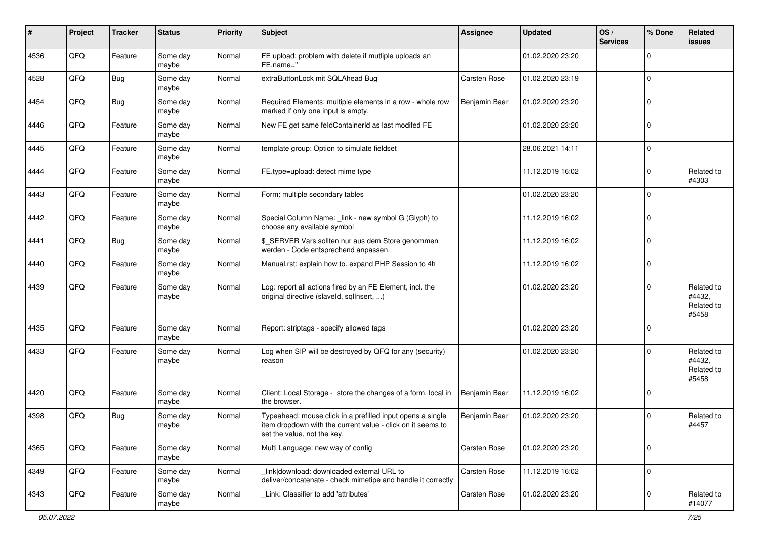| #    | Project | <b>Tracker</b> | <b>Status</b>     | <b>Priority</b> | <b>Subject</b>                                                                                                                                           | <b>Assignee</b>     | <b>Updated</b>   | OS/<br><b>Services</b> | % Done       | Related<br>issues                           |
|------|---------|----------------|-------------------|-----------------|----------------------------------------------------------------------------------------------------------------------------------------------------------|---------------------|------------------|------------------------|--------------|---------------------------------------------|
| 4536 | QFQ     | Feature        | Some day<br>maybe | Normal          | FE upload: problem with delete if mutliple uploads an<br>FE.name="                                                                                       |                     | 01.02.2020 23:20 |                        | $\Omega$     |                                             |
| 4528 | QFQ     | <b>Bug</b>     | Some day<br>maybe | Normal          | extraButtonLock mit SQLAhead Bug                                                                                                                         | <b>Carsten Rose</b> | 01.02.2020 23:19 |                        | $\mathbf 0$  |                                             |
| 4454 | QFQ     | <b>Bug</b>     | Some day<br>maybe | Normal          | Required Elements: multiple elements in a row - whole row<br>marked if only one input is empty.                                                          | Benjamin Baer       | 01.02.2020 23:20 |                        | $\Omega$     |                                             |
| 4446 | QFQ     | Feature        | Some day<br>maybe | Normal          | New FE get same feldContainerId as last modifed FE                                                                                                       |                     | 01.02.2020 23:20 |                        | $\Omega$     |                                             |
| 4445 | QFQ     | Feature        | Some day<br>maybe | Normal          | template group: Option to simulate fieldset                                                                                                              |                     | 28.06.2021 14:11 |                        | $\mathbf 0$  |                                             |
| 4444 | QFQ     | Feature        | Some day<br>maybe | Normal          | FE.type=upload: detect mime type                                                                                                                         |                     | 11.12.2019 16:02 |                        | $\Omega$     | Related to<br>#4303                         |
| 4443 | QFQ     | Feature        | Some day<br>maybe | Normal          | Form: multiple secondary tables                                                                                                                          |                     | 01.02.2020 23:20 |                        | $\Omega$     |                                             |
| 4442 | QFQ     | Feature        | Some day<br>maybe | Normal          | Special Column Name: _link - new symbol G (Glyph) to<br>choose any available symbol                                                                      |                     | 11.12.2019 16:02 |                        | $\mathbf 0$  |                                             |
| 4441 | QFQ     | <b>Bug</b>     | Some day<br>maybe | Normal          | \$_SERVER Vars sollten nur aus dem Store genommen<br>werden - Code entsprechend anpassen.                                                                |                     | 11.12.2019 16:02 |                        | $\mathbf 0$  |                                             |
| 4440 | QFQ     | Feature        | Some day<br>maybe | Normal          | Manual.rst: explain how to. expand PHP Session to 4h                                                                                                     |                     | 11.12.2019 16:02 |                        | $\Omega$     |                                             |
| 4439 | QFQ     | Feature        | Some day<br>maybe | Normal          | Log: report all actions fired by an FE Element, incl. the<br>original directive (slaveld, sqllnsert, )                                                   |                     | 01.02.2020 23:20 |                        | $\Omega$     | Related to<br>#4432,<br>Related to<br>#5458 |
| 4435 | QFQ     | Feature        | Some day<br>maybe | Normal          | Report: striptags - specify allowed tags                                                                                                                 |                     | 01.02.2020 23:20 |                        | $\Omega$     |                                             |
| 4433 | QFQ     | Feature        | Some day<br>maybe | Normal          | Log when SIP will be destroyed by QFQ for any (security)<br>reason                                                                                       |                     | 01.02.2020 23:20 |                        | $\Omega$     | Related to<br>#4432,<br>Related to<br>#5458 |
| 4420 | QFQ     | Feature        | Some day<br>maybe | Normal          | Client: Local Storage - store the changes of a form, local in<br>the browser.                                                                            | Benjamin Baer       | 11.12.2019 16:02 |                        | $\mathbf 0$  |                                             |
| 4398 | QFQ     | Bug            | Some day<br>maybe | Normal          | Typeahead: mouse click in a prefilled input opens a single<br>item dropdown with the current value - click on it seems to<br>set the value, not the key. | Benjamin Baer       | 01.02.2020 23:20 |                        | $\Omega$     | Related to<br>#4457                         |
| 4365 | QFQ     | Feature        | Some day<br>maybe | Normal          | Multi Language: new way of config                                                                                                                        | Carsten Rose        | 01.02.2020 23:20 |                        | $\mathbf{0}$ |                                             |
| 4349 | QFG     | Feature        | Some day<br>maybe | Normal          | link download: downloaded external URL to<br>deliver/concatenate - check mimetipe and handle it correctly                                                | Carsten Rose        | 11.12.2019 16:02 |                        | $\mathbf 0$  |                                             |
| 4343 | QFQ     | Feature        | Some day<br>maybe | Normal          | Link: Classifier to add 'attributes'                                                                                                                     | Carsten Rose        | 01.02.2020 23:20 |                        | $\mathbf 0$  | Related to<br>#14077                        |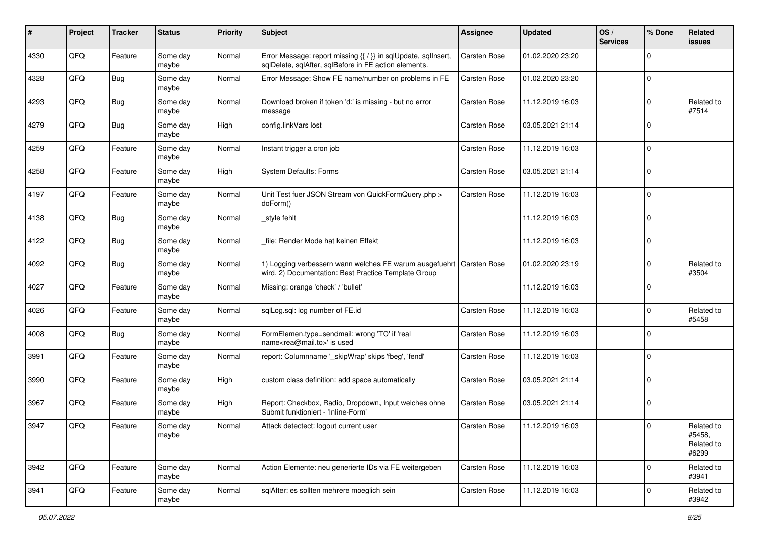| #    | Project | <b>Tracker</b> | <b>Status</b>     | <b>Priority</b> | <b>Subject</b>                                                                                                                 | <b>Assignee</b>     | <b>Updated</b>   | OS/<br><b>Services</b> | % Done         | Related<br>issues                           |
|------|---------|----------------|-------------------|-----------------|--------------------------------------------------------------------------------------------------------------------------------|---------------------|------------------|------------------------|----------------|---------------------------------------------|
| 4330 | QFQ     | Feature        | Some day<br>maybe | Normal          | Error Message: report missing {{ / }} in sqlUpdate, sqlInsert,<br>sqlDelete, sqlAfter, sqlBefore in FE action elements.        | <b>Carsten Rose</b> | 01.02.2020 23:20 |                        | $\Omega$       |                                             |
| 4328 | QFQ     | <b>Bug</b>     | Some day<br>maybe | Normal          | Error Message: Show FE name/number on problems in FE                                                                           | <b>Carsten Rose</b> | 01.02.2020 23:20 |                        | $\mathbf 0$    |                                             |
| 4293 | QFQ     | <b>Bug</b>     | Some day<br>maybe | Normal          | Download broken if token 'd:' is missing - but no error<br>message                                                             | Carsten Rose        | 11.12.2019 16:03 |                        | $\Omega$       | Related to<br>#7514                         |
| 4279 | QFQ     | <b>Bug</b>     | Some day<br>maybe | High            | config.linkVars lost                                                                                                           | Carsten Rose        | 03.05.2021 21:14 |                        | $\mathbf 0$    |                                             |
| 4259 | QFQ     | Feature        | Some day<br>maybe | Normal          | Instant trigger a cron job                                                                                                     | <b>Carsten Rose</b> | 11.12.2019 16:03 |                        | $\Omega$       |                                             |
| 4258 | QFQ     | Feature        | Some day<br>maybe | High            | System Defaults: Forms                                                                                                         | <b>Carsten Rose</b> | 03.05.2021 21:14 |                        | $\Omega$       |                                             |
| 4197 | QFQ     | Feature        | Some day<br>maybe | Normal          | Unit Test fuer JSON Stream von QuickFormQuery.php ><br>doForm()                                                                | Carsten Rose        | 11.12.2019 16:03 |                        | $\Omega$       |                                             |
| 4138 | QFQ     | Bug            | Some day<br>maybe | Normal          | style fehlt                                                                                                                    |                     | 11.12.2019 16:03 |                        | $\mathbf 0$    |                                             |
| 4122 | QFQ     | <b>Bug</b>     | Some day<br>maybe | Normal          | file: Render Mode hat keinen Effekt                                                                                            |                     | 11.12.2019 16:03 |                        | 0              |                                             |
| 4092 | QFQ     | <b>Bug</b>     | Some day<br>maybe | Normal          | 1) Logging verbessern wann welches FE warum ausgefuehrt   Carsten Rose<br>wird, 2) Documentation: Best Practice Template Group |                     | 01.02.2020 23:19 |                        | 0              | Related to<br>#3504                         |
| 4027 | QFQ     | Feature        | Some day<br>maybe | Normal          | Missing: orange 'check' / 'bullet'                                                                                             |                     | 11.12.2019 16:03 |                        | $\Omega$       |                                             |
| 4026 | QFQ     | Feature        | Some day<br>maybe | Normal          | sqlLog.sql: log number of FE.id                                                                                                | <b>Carsten Rose</b> | 11.12.2019 16:03 |                        | $\Omega$       | Related to<br>#5458                         |
| 4008 | QFQ     | <b>Bug</b>     | Some day<br>maybe | Normal          | FormElemen.type=sendmail: wrong 'TO' if 'real<br>name <rea@mail.to>' is used</rea@mail.to>                                     | <b>Carsten Rose</b> | 11.12.2019 16:03 |                        | $\Omega$       |                                             |
| 3991 | QFQ     | Feature        | Some day<br>maybe | Normal          | report: Columnname '_skipWrap' skips 'fbeg', 'fend'                                                                            | <b>Carsten Rose</b> | 11.12.2019 16:03 |                        | $\Omega$       |                                             |
| 3990 | QFQ     | Feature        | Some day<br>maybe | High            | custom class definition: add space automatically                                                                               | <b>Carsten Rose</b> | 03.05.2021 21:14 |                        | $\mathbf 0$    |                                             |
| 3967 | QFQ     | Feature        | Some day<br>maybe | High            | Report: Checkbox, Radio, Dropdown, Input welches ohne<br>Submit funktioniert - 'Inline-Form'                                   | <b>Carsten Rose</b> | 03.05.2021 21:14 |                        | $\overline{0}$ |                                             |
| 3947 | QFQ     | Feature        | Some day<br>maybe | Normal          | Attack detectect: logout current user                                                                                          | <b>Carsten Rose</b> | 11.12.2019 16:03 |                        | $\overline{0}$ | Related to<br>#5458,<br>Related to<br>#6299 |
| 3942 | QFQ     | Feature        | Some day<br>maybe | Normal          | Action Elemente: neu generierte IDs via FE weitergeben                                                                         | Carsten Rose        | 11.12.2019 16:03 |                        | 0              | Related to<br>#3941                         |
| 3941 | QFQ     | Feature        | Some day<br>maybe | Normal          | sqlAfter: es sollten mehrere moeglich sein                                                                                     | Carsten Rose        | 11.12.2019 16:03 |                        | $\mathbf 0$    | Related to<br>#3942                         |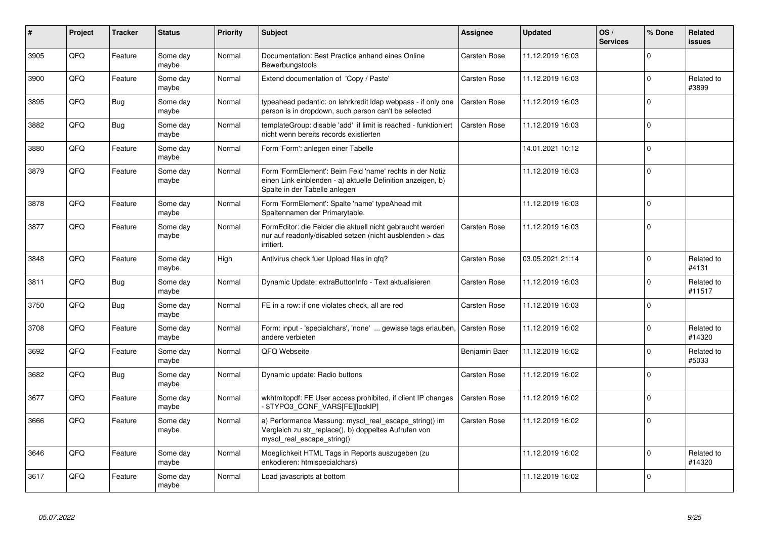| #    | Project | <b>Tracker</b> | <b>Status</b>     | Priority | <b>Subject</b>                                                                                                                                           | Assignee            | <b>Updated</b>   | OS/<br><b>Services</b> | % Done      | Related<br><b>issues</b> |
|------|---------|----------------|-------------------|----------|----------------------------------------------------------------------------------------------------------------------------------------------------------|---------------------|------------------|------------------------|-------------|--------------------------|
| 3905 | QFQ     | Feature        | Some day<br>maybe | Normal   | Documentation: Best Practice anhand eines Online<br>Bewerbungstools                                                                                      | <b>Carsten Rose</b> | 11.12.2019 16:03 |                        | $\Omega$    |                          |
| 3900 | QFQ     | Feature        | Some day<br>maybe | Normal   | Extend documentation of 'Copy / Paste'                                                                                                                   | Carsten Rose        | 11.12.2019 16:03 |                        | $\Omega$    | Related to<br>#3899      |
| 3895 | QFQ     | <b>Bug</b>     | Some day<br>maybe | Normal   | typeahead pedantic: on lehrkredit Idap webpass - if only one<br>person is in dropdown, such person can't be selected                                     | <b>Carsten Rose</b> | 11.12.2019 16:03 |                        | $\Omega$    |                          |
| 3882 | QFQ     | <b>Bug</b>     | Some day<br>maybe | Normal   | templateGroup: disable 'add' if limit is reached - funktioniert<br>nicht wenn bereits records existierten                                                | Carsten Rose        | 11.12.2019 16:03 |                        | $\Omega$    |                          |
| 3880 | QFQ     | Feature        | Some day<br>maybe | Normal   | Form 'Form': anlegen einer Tabelle                                                                                                                       |                     | 14.01.2021 10:12 |                        | $\Omega$    |                          |
| 3879 | QFQ     | Feature        | Some day<br>maybe | Normal   | Form 'FormElement': Beim Feld 'name' rechts in der Notiz<br>einen Link einblenden - a) aktuelle Definition anzeigen, b)<br>Spalte in der Tabelle anlegen |                     | 11.12.2019 16:03 |                        | $\Omega$    |                          |
| 3878 | QFQ     | Feature        | Some day<br>maybe | Normal   | Form 'FormElement': Spalte 'name' typeAhead mit<br>Spaltennamen der Primarytable.                                                                        |                     | 11.12.2019 16:03 |                        | $\Omega$    |                          |
| 3877 | QFQ     | Feature        | Some day<br>maybe | Normal   | FormEditor: die Felder die aktuell nicht gebraucht werden<br>nur auf readonly/disabled setzen (nicht ausblenden > das<br>irritiert.                      | Carsten Rose        | 11.12.2019 16:03 |                        | $\Omega$    |                          |
| 3848 | QFQ     | Feature        | Some day<br>maybe | High     | Antivirus check fuer Upload files in qfq?                                                                                                                | <b>Carsten Rose</b> | 03.05.2021 21:14 |                        | $\Omega$    | Related to<br>#4131      |
| 3811 | QFQ     | Bug            | Some dav<br>maybe | Normal   | Dynamic Update: extraButtonInfo - Text aktualisieren                                                                                                     | Carsten Rose        | 11.12.2019 16:03 |                        | $\Omega$    | Related to<br>#11517     |
| 3750 | QFQ     | <b>Bug</b>     | Some day<br>maybe | Normal   | FE in a row: if one violates check, all are red                                                                                                          | <b>Carsten Rose</b> | 11.12.2019 16:03 |                        | $\Omega$    |                          |
| 3708 | QFQ     | Feature        | Some day<br>maybe | Normal   | Form: input - 'specialchars', 'none'  gewisse tags erlauben,<br>andere verbieten                                                                         | <b>Carsten Rose</b> | 11.12.2019 16:02 |                        | $\mathbf 0$ | Related to<br>#14320     |
| 3692 | QFQ     | Feature        | Some day<br>maybe | Normal   | QFQ Webseite                                                                                                                                             | Benjamin Baer       | 11.12.2019 16:02 |                        | $\Omega$    | Related to<br>#5033      |
| 3682 | QFQ     | <b>Bug</b>     | Some day<br>maybe | Normal   | Dynamic update: Radio buttons                                                                                                                            | <b>Carsten Rose</b> | 11.12.2019 16:02 |                        | $\Omega$    |                          |
| 3677 | QFQ     | Feature        | Some day<br>maybe | Normal   | wkhtmltopdf: FE User access prohibited, if client IP changes<br>- \$TYPO3_CONF_VARS[FE][lockIP]                                                          | <b>Carsten Rose</b> | 11.12.2019 16:02 |                        | $\Omega$    |                          |
| 3666 | QFQ     | Feature        | Some day<br>maybe | Normal   | a) Performance Messung: mysql_real_escape_string() im<br>Vergleich zu str_replace(), b) doppeltes Aufrufen von<br>mysql_real_escape_string()             | <b>Carsten Rose</b> | 11.12.2019 16:02 |                        | $\Omega$    |                          |
| 3646 | QFQ     | Feature        | Some day<br>maybe | Normal   | Moeglichkeit HTML Tags in Reports auszugeben (zu<br>enkodieren: htmlspecialchars)                                                                        |                     | 11.12.2019 16:02 |                        | $\Omega$    | Related to<br>#14320     |
| 3617 | QFQ     | Feature        | Some day<br>maybe | Normal   | Load javascripts at bottom                                                                                                                               |                     | 11.12.2019 16:02 |                        | $\Omega$    |                          |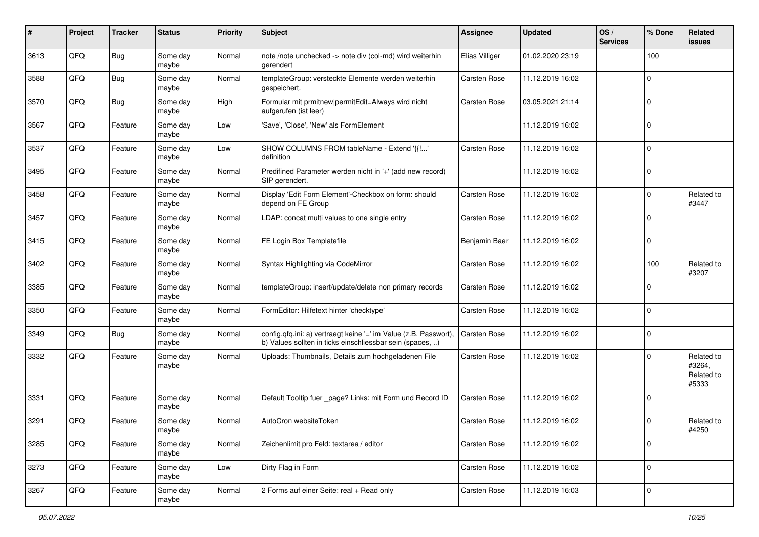| #    | Project | <b>Tracker</b> | <b>Status</b>     | <b>Priority</b> | Subject                                                                                                                       | Assignee            | <b>Updated</b>   | OS/<br><b>Services</b> | % Done         | Related<br>issues                           |
|------|---------|----------------|-------------------|-----------------|-------------------------------------------------------------------------------------------------------------------------------|---------------------|------------------|------------------------|----------------|---------------------------------------------|
| 3613 | QFQ     | <b>Bug</b>     | Some day<br>maybe | Normal          | note /note unchecked -> note div (col-md) wird weiterhin<br>gerendert                                                         | Elias Villiger      | 01.02.2020 23:19 |                        | 100            |                                             |
| 3588 | QFQ     | <b>Bug</b>     | Some day<br>maybe | Normal          | templateGroup: versteckte Elemente werden weiterhin<br>gespeichert.                                                           | <b>Carsten Rose</b> | 11.12.2019 16:02 |                        | 0              |                                             |
| 3570 | QFQ     | <b>Bug</b>     | Some day<br>maybe | High            | Formular mit prmitnew permitEdit=Always wird nicht<br>aufgerufen (ist leer)                                                   | Carsten Rose        | 03.05.2021 21:14 |                        | $\Omega$       |                                             |
| 3567 | QFQ     | Feature        | Some day<br>maybe | Low             | 'Save', 'Close', 'New' als FormElement                                                                                        |                     | 11.12.2019 16:02 |                        | $\mathbf 0$    |                                             |
| 3537 | QFQ     | Feature        | Some day<br>maybe | Low             | SHOW COLUMNS FROM tableName - Extend '{{!'<br>definition                                                                      | Carsten Rose        | 11.12.2019 16:02 |                        | $\Omega$       |                                             |
| 3495 | QFQ     | Feature        | Some day<br>maybe | Normal          | Predifined Parameter werden nicht in '+' (add new record)<br>SIP gerendert.                                                   |                     | 11.12.2019 16:02 |                        | $\Omega$       |                                             |
| 3458 | QFQ     | Feature        | Some day<br>maybe | Normal          | Display 'Edit Form Element'-Checkbox on form: should<br>depend on FE Group                                                    | <b>Carsten Rose</b> | 11.12.2019 16:02 |                        | $\Omega$       | Related to<br>#3447                         |
| 3457 | QFQ     | Feature        | Some day<br>maybe | Normal          | LDAP: concat multi values to one single entry                                                                                 | <b>Carsten Rose</b> | 11.12.2019 16:02 |                        | $\mathbf 0$    |                                             |
| 3415 | QFQ     | Feature        | Some day<br>maybe | Normal          | FE Login Box Templatefile                                                                                                     | Benjamin Baer       | 11.12.2019 16:02 |                        | 0              |                                             |
| 3402 | QFQ     | Feature        | Some day<br>maybe | Normal          | Syntax Highlighting via CodeMirror                                                                                            | Carsten Rose        | 11.12.2019 16:02 |                        | 100            | Related to<br>#3207                         |
| 3385 | QFQ     | Feature        | Some day<br>maybe | Normal          | templateGroup: insert/update/delete non primary records                                                                       | Carsten Rose        | 11.12.2019 16:02 |                        | $\Omega$       |                                             |
| 3350 | QFQ     | Feature        | Some day<br>maybe | Normal          | FormEditor: Hilfetext hinter 'checktype'                                                                                      | <b>Carsten Rose</b> | 11.12.2019 16:02 |                        | $\mathbf 0$    |                                             |
| 3349 | QFQ     | <b>Bug</b>     | Some day<br>maybe | Normal          | config.qfq.ini: a) vertraegt keine '=' im Value (z.B. Passwort),<br>b) Values sollten in ticks einschliessbar sein (spaces, ) | <b>Carsten Rose</b> | 11.12.2019 16:02 |                        | $\Omega$       |                                             |
| 3332 | QFQ     | Feature        | Some day<br>maybe | Normal          | Uploads: Thumbnails, Details zum hochgeladenen File                                                                           | <b>Carsten Rose</b> | 11.12.2019 16:02 |                        | $\Omega$       | Related to<br>#3264,<br>Related to<br>#5333 |
| 3331 | QFQ     | Feature        | Some day<br>maybe | Normal          | Default Tooltip fuer _page? Links: mit Form und Record ID                                                                     | Carsten Rose        | 11.12.2019 16:02 |                        | $\Omega$       |                                             |
| 3291 | QFQ     | Feature        | Some day<br>maybe | Normal          | AutoCron websiteToken                                                                                                         | <b>Carsten Rose</b> | 11.12.2019 16:02 |                        | $\Omega$       | Related to<br>#4250                         |
| 3285 | QFQ     | Feature        | Some day<br>maybe | Normal          | Zeichenlimit pro Feld: textarea / editor                                                                                      | Carsten Rose        | 11.12.2019 16:02 |                        | 0              |                                             |
| 3273 | QFQ     | Feature        | Some day<br>maybe | Low             | Dirty Flag in Form                                                                                                            | Carsten Rose        | 11.12.2019 16:02 |                        | 0              |                                             |
| 3267 | QFQ     | Feature        | Some day<br>maybe | Normal          | 2 Forms auf einer Seite: real + Read only                                                                                     | Carsten Rose        | 11.12.2019 16:03 |                        | $\overline{0}$ |                                             |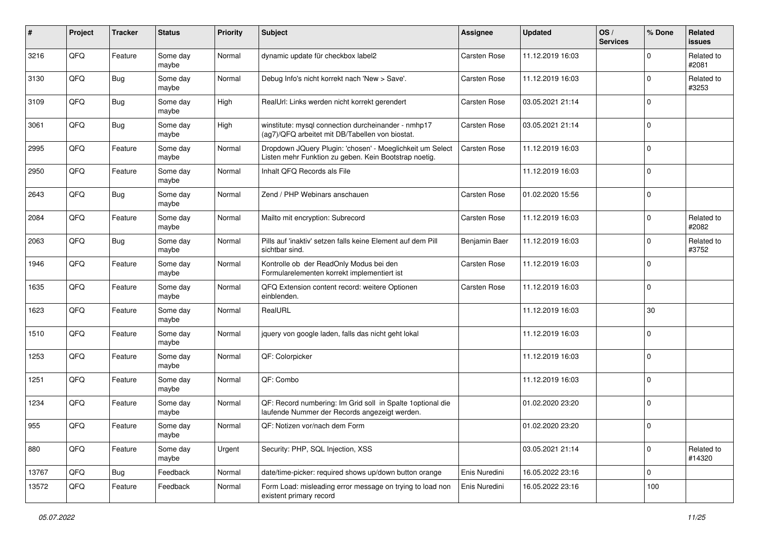| $\#$  | Project | <b>Tracker</b> | <b>Status</b>     | Priority | Subject                                                                                                            | <b>Assignee</b>     | <b>Updated</b>   | OS/<br><b>Services</b> | % Done         | Related<br>issues    |
|-------|---------|----------------|-------------------|----------|--------------------------------------------------------------------------------------------------------------------|---------------------|------------------|------------------------|----------------|----------------------|
| 3216  | QFQ     | Feature        | Some day<br>maybe | Normal   | dynamic update für checkbox label2                                                                                 | Carsten Rose        | 11.12.2019 16:03 |                        | $\Omega$       | Related to<br>#2081  |
| 3130  | QFQ     | Bug            | Some day<br>maybe | Normal   | Debug Info's nicht korrekt nach 'New > Save'.                                                                      | <b>Carsten Rose</b> | 11.12.2019 16:03 |                        | $\Omega$       | Related to<br>#3253  |
| 3109  | QFQ     | Bug            | Some day<br>maybe | High     | RealUrl: Links werden nicht korrekt gerendert                                                                      | Carsten Rose        | 03.05.2021 21:14 |                        | $\Omega$       |                      |
| 3061  | QFQ     | <b>Bug</b>     | Some day<br>maybe | High     | winstitute: mysql connection durcheinander - nmhp17<br>(ag7)/QFQ arbeitet mit DB/Tabellen von biostat.             | <b>Carsten Rose</b> | 03.05.2021 21:14 |                        | $\mathbf 0$    |                      |
| 2995  | QFQ     | Feature        | Some day<br>maybe | Normal   | Dropdown JQuery Plugin: 'chosen' - Moeglichkeit um Select<br>Listen mehr Funktion zu geben. Kein Bootstrap noetig. | <b>Carsten Rose</b> | 11.12.2019 16:03 |                        | $\mathbf 0$    |                      |
| 2950  | QFQ     | Feature        | Some day<br>maybe | Normal   | Inhalt QFQ Records als File                                                                                        |                     | 11.12.2019 16:03 |                        | $\Omega$       |                      |
| 2643  | QFQ     | <b>Bug</b>     | Some day<br>maybe | Normal   | Zend / PHP Webinars anschauen                                                                                      | <b>Carsten Rose</b> | 01.02.2020 15:56 |                        | $\Omega$       |                      |
| 2084  | QFQ     | Feature        | Some day<br>maybe | Normal   | Mailto mit encryption: Subrecord                                                                                   | <b>Carsten Rose</b> | 11.12.2019 16:03 |                        | 0              | Related to<br>#2082  |
| 2063  | QFQ     | Bug            | Some day<br>maybe | Normal   | Pills auf 'inaktiv' setzen falls keine Element auf dem Pill<br>sichtbar sind.                                      | Benjamin Baer       | 11.12.2019 16:03 |                        | $\Omega$       | Related to<br>#3752  |
| 1946  | QFQ     | Feature        | Some day<br>maybe | Normal   | Kontrolle ob der ReadOnly Modus bei den<br>Formularelementen korrekt implementiert ist                             | <b>Carsten Rose</b> | 11.12.2019 16:03 |                        | $\Omega$       |                      |
| 1635  | QFQ     | Feature        | Some day<br>maybe | Normal   | QFQ Extension content record: weitere Optionen<br>einblenden.                                                      | <b>Carsten Rose</b> | 11.12.2019 16:03 |                        | $\Omega$       |                      |
| 1623  | QFQ     | Feature        | Some day<br>maybe | Normal   | RealURL                                                                                                            |                     | 11.12.2019 16:03 |                        | 30             |                      |
| 1510  | QFQ     | Feature        | Some day<br>maybe | Normal   | jquery von google laden, falls das nicht geht lokal                                                                |                     | 11.12.2019 16:03 |                        | $\Omega$       |                      |
| 1253  | QFQ     | Feature        | Some day<br>maybe | Normal   | QF: Colorpicker                                                                                                    |                     | 11.12.2019 16:03 |                        | $\mathbf 0$    |                      |
| 1251  | QFQ     | Feature        | Some day<br>maybe | Normal   | QF: Combo                                                                                                          |                     | 11.12.2019 16:03 |                        | $\mathbf 0$    |                      |
| 1234  | QFQ     | Feature        | Some day<br>maybe | Normal   | QF: Record numbering: Im Grid soll in Spalte 1optional die<br>laufende Nummer der Records angezeigt werden.        |                     | 01.02.2020 23:20 |                        | $\overline{0}$ |                      |
| 955   | QFQ     | Feature        | Some day<br>maybe | Normal   | QF: Notizen vor/nach dem Form                                                                                      |                     | 01.02.2020 23:20 |                        | 0              |                      |
| 880   | QFQ     | Feature        | Some day<br>maybe | Urgent   | Security: PHP, SQL Injection, XSS                                                                                  |                     | 03.05.2021 21:14 |                        | 0              | Related to<br>#14320 |
| 13767 | QFQ     | Bug            | Feedback          | Normal   | date/time-picker: required shows up/down button orange                                                             | Enis Nuredini       | 16.05.2022 23:16 |                        | $\mathbf 0$    |                      |
| 13572 | QFQ     | Feature        | Feedback          | Normal   | Form Load: misleading error message on trying to load non<br>existent primary record                               | Enis Nuredini       | 16.05.2022 23:16 |                        | 100            |                      |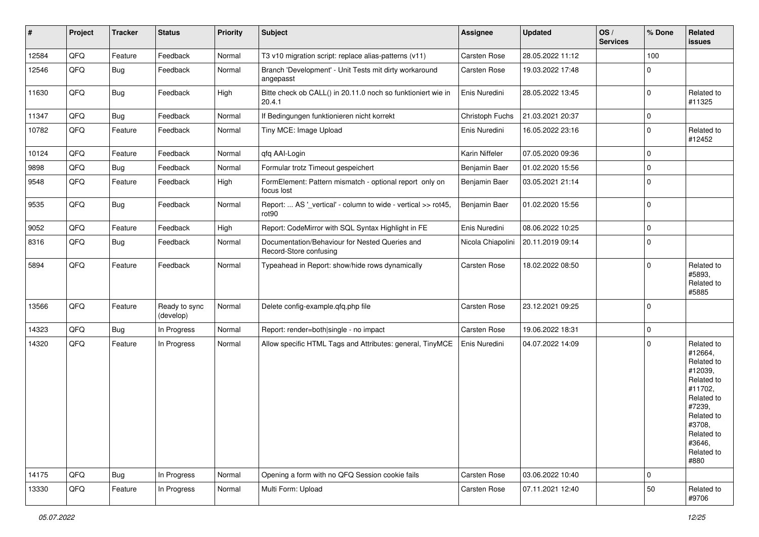| #     | Project | <b>Tracker</b> | <b>Status</b>              | <b>Priority</b> | <b>Subject</b>                                                           | <b>Assignee</b>     | <b>Updated</b>   | OS/<br><b>Services</b> | % Done         | Related<br>issues                                                                                                                                                     |
|-------|---------|----------------|----------------------------|-----------------|--------------------------------------------------------------------------|---------------------|------------------|------------------------|----------------|-----------------------------------------------------------------------------------------------------------------------------------------------------------------------|
| 12584 | QFQ     | Feature        | Feedback                   | Normal          | T3 v10 migration script: replace alias-patterns (v11)                    | Carsten Rose        | 28.05.2022 11:12 |                        | 100            |                                                                                                                                                                       |
| 12546 | QFQ     | <b>Bug</b>     | Feedback                   | Normal          | Branch 'Development' - Unit Tests mit dirty workaround<br>angepasst      | Carsten Rose        | 19.03.2022 17:48 |                        | $\mathbf 0$    |                                                                                                                                                                       |
| 11630 | QFQ     | <b>Bug</b>     | Feedback                   | High            | Bitte check ob CALL() in 20.11.0 noch so funktioniert wie in<br>20.4.1   | Enis Nuredini       | 28.05.2022 13:45 |                        | $\mathbf 0$    | Related to<br>#11325                                                                                                                                                  |
| 11347 | QFQ     | <b>Bug</b>     | Feedback                   | Normal          | If Bedingungen funktionieren nicht korrekt                               | Christoph Fuchs     | 21.03.2021 20:37 |                        | $\mathbf 0$    |                                                                                                                                                                       |
| 10782 | QFQ     | Feature        | Feedback                   | Normal          | Tiny MCE: Image Upload                                                   | Enis Nuredini       | 16.05.2022 23:16 |                        | $\Omega$       | Related to<br>#12452                                                                                                                                                  |
| 10124 | QFQ     | Feature        | Feedback                   | Normal          | qfq AAI-Login                                                            | Karin Niffeler      | 07.05.2020 09:36 |                        | $\mathbf 0$    |                                                                                                                                                                       |
| 9898  | QFQ     | Bug            | Feedback                   | Normal          | Formular trotz Timeout gespeichert                                       | Benjamin Baer       | 01.02.2020 15:56 |                        | $\mathbf 0$    |                                                                                                                                                                       |
| 9548  | QFQ     | Feature        | Feedback                   | High            | FormElement: Pattern mismatch - optional report only on<br>focus lost    | Benjamin Baer       | 03.05.2021 21:14 |                        | $\mathbf 0$    |                                                                                                                                                                       |
| 9535  | QFQ     | <b>Bug</b>     | Feedback                   | Normal          | Report:  AS '_vertical' - column to wide - vertical >> rot45,<br>rot90   | Benjamin Baer       | 01.02.2020 15:56 |                        | $\overline{0}$ |                                                                                                                                                                       |
| 9052  | QFQ     | Feature        | Feedback                   | High            | Report: CodeMirror with SQL Syntax Highlight in FE                       | Enis Nuredini       | 08.06.2022 10:25 |                        | $\mathbf 0$    |                                                                                                                                                                       |
| 8316  | QFQ     | <b>Bug</b>     | Feedback                   | Normal          | Documentation/Behaviour for Nested Queries and<br>Record-Store confusing | Nicola Chiapolini   | 20.11.2019 09:14 |                        | $\mathbf 0$    |                                                                                                                                                                       |
| 5894  | QFQ     | Feature        | Feedback                   | Normal          | Typeahead in Report: show/hide rows dynamically                          | Carsten Rose        | 18.02.2022 08:50 |                        | $\Omega$       | Related to<br>#5893,<br>Related to<br>#5885                                                                                                                           |
| 13566 | QFQ     | Feature        | Ready to sync<br>(develop) | Normal          | Delete config-example.qfq.php file                                       | Carsten Rose        | 23.12.2021 09:25 |                        | 0              |                                                                                                                                                                       |
| 14323 | QFQ     | <b>Bug</b>     | In Progress                | Normal          | Report: render=both single - no impact                                   | Carsten Rose        | 19.06.2022 18:31 |                        | $\mathbf 0$    |                                                                                                                                                                       |
| 14320 | QFQ     | Feature        | In Progress                | Normal          | Allow specific HTML Tags and Attributes: general, TinyMCE                | Enis Nuredini       | 04.07.2022 14:09 |                        | $\mathbf 0$    | Related to<br>#12664,<br>Related to<br>#12039,<br>Related to<br>#11702,<br>Related to<br>#7239,<br>Related to<br>#3708,<br>Related to<br>#3646,<br>Related to<br>#880 |
| 14175 | QFQ     | Bug            | In Progress                | Normal          | Opening a form with no QFQ Session cookie fails                          | <b>Carsten Rose</b> | 03.06.2022 10:40 |                        | $\mathbf 0$    |                                                                                                                                                                       |
| 13330 | QFQ     | Feature        | In Progress                | Normal          | Multi Form: Upload                                                       | Carsten Rose        | 07.11.2021 12:40 |                        | 50             | Related to<br>#9706                                                                                                                                                   |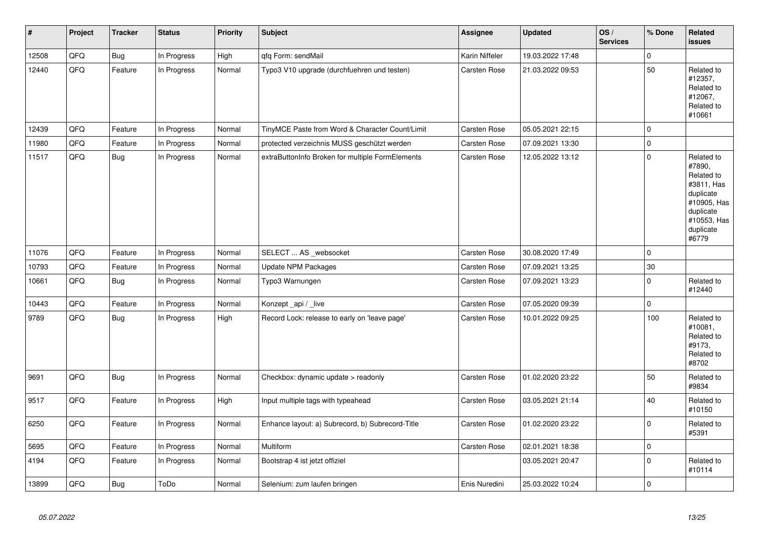| $\vert$ # | Project | <b>Tracker</b> | <b>Status</b> | <b>Priority</b> | <b>Subject</b>                                   | <b>Assignee</b>     | <b>Updated</b>   | OS/<br><b>Services</b> | % Done       | Related<br><b>issues</b>                                                                                                       |
|-----------|---------|----------------|---------------|-----------------|--------------------------------------------------|---------------------|------------------|------------------------|--------------|--------------------------------------------------------------------------------------------------------------------------------|
| 12508     | QFQ     | <b>Bug</b>     | In Progress   | High            | qfq Form: sendMail                               | Karin Niffeler      | 19.03.2022 17:48 |                        | $\mathbf{0}$ |                                                                                                                                |
| 12440     | QFQ     | Feature        | In Progress   | Normal          | Typo3 V10 upgrade (durchfuehren und testen)      | <b>Carsten Rose</b> | 21.03.2022 09:53 |                        | 50           | Related to<br>#12357,<br>Related to<br>#12067,<br>Related to<br>#10661                                                         |
| 12439     | QFQ     | Feature        | In Progress   | Normal          | TinyMCE Paste from Word & Character Count/Limit  | <b>Carsten Rose</b> | 05.05.2021 22:15 |                        | $\mathbf 0$  |                                                                                                                                |
| 11980     | QFQ     | Feature        | In Progress   | Normal          | protected verzeichnis MUSS geschützt werden      | Carsten Rose        | 07.09.2021 13:30 |                        | $\pmb{0}$    |                                                                                                                                |
| 11517     | QFQ     | <b>Bug</b>     | In Progress   | Normal          | extraButtonInfo Broken for multiple FormElements | <b>Carsten Rose</b> | 12.05.2022 13:12 |                        | $\mathbf 0$  | Related to<br>#7890,<br>Related to<br>#3811, Has<br>duplicate<br>#10905, Has<br>duplicate<br>#10553, Has<br>duplicate<br>#6779 |
| 11076     | QFQ     | Feature        | In Progress   | Normal          | SELECT  AS _websocket                            | Carsten Rose        | 30.08.2020 17:49 |                        | $\mathbf 0$  |                                                                                                                                |
| 10793     | QFQ     | Feature        | In Progress   | Normal          | <b>Update NPM Packages</b>                       | <b>Carsten Rose</b> | 07.09.2021 13:25 |                        | $30\,$       |                                                                                                                                |
| 10661     | QFQ     | Bug            | In Progress   | Normal          | Typo3 Warnungen                                  | Carsten Rose        | 07.09.2021 13:23 |                        | $\pmb{0}$    | Related to<br>#12440                                                                                                           |
| 10443     | QFQ     | Feature        | In Progress   | Normal          | Konzept_api / _live                              | Carsten Rose        | 07.05.2020 09:39 |                        | $\mathbf{0}$ |                                                                                                                                |
| 9789      | QFQ     | <b>Bug</b>     | In Progress   | High            | Record Lock: release to early on 'leave page'    | <b>Carsten Rose</b> | 10.01.2022 09:25 |                        | 100          | Related to<br>#10081,<br>Related to<br>#9173.<br>Related to<br>#8702                                                           |
| 9691      | QFQ     | <b>Bug</b>     | In Progress   | Normal          | Checkbox: dynamic update > readonly              | <b>Carsten Rose</b> | 01.02.2020 23:22 |                        | 50           | Related to<br>#9834                                                                                                            |
| 9517      | QFQ     | Feature        | In Progress   | High            | Input multiple tags with typeahead               | Carsten Rose        | 03.05.2021 21:14 |                        | 40           | Related to<br>#10150                                                                                                           |
| 6250      | QFQ     | Feature        | In Progress   | Normal          | Enhance layout: a) Subrecord, b) Subrecord-Title | <b>Carsten Rose</b> | 01.02.2020 23:22 |                        | $\mathbf 0$  | Related to<br>#5391                                                                                                            |
| 5695      | QFQ     | Feature        | In Progress   | Normal          | Multiform                                        | Carsten Rose        | 02.01.2021 18:38 |                        | $\mathbf 0$  |                                                                                                                                |
| 4194      | QFQ     | Feature        | In Progress   | Normal          | Bootstrap 4 ist jetzt offiziel                   |                     | 03.05.2021 20:47 |                        | $\mathbf 0$  | Related to<br>#10114                                                                                                           |
| 13899     | QFQ     | <b>Bug</b>     | ToDo          | Normal          | Selenium: zum laufen bringen                     | Enis Nuredini       | 25.03.2022 10:24 |                        | $\pmb{0}$    |                                                                                                                                |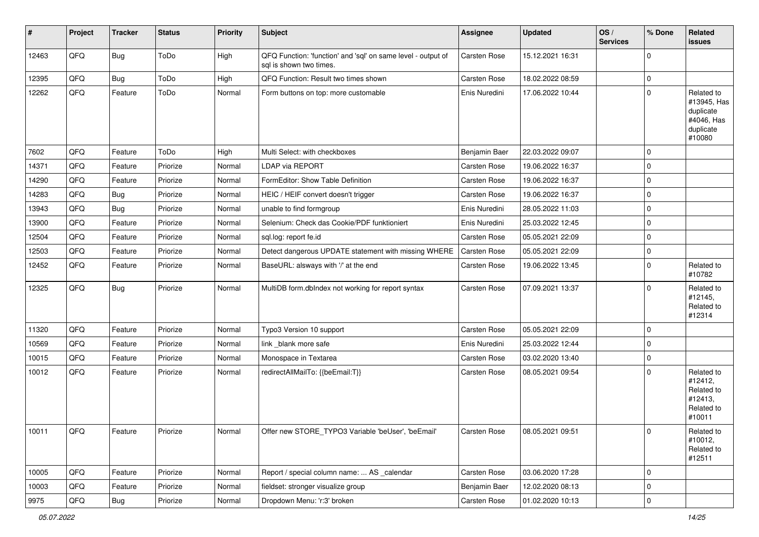| #     | Project | <b>Tracker</b> | <b>Status</b> | <b>Priority</b> | <b>Subject</b>                                                                          | <b>Assignee</b>     | <b>Updated</b>   | OS/<br><b>Services</b> | % Done      | Related<br><b>issues</b>                                                    |
|-------|---------|----------------|---------------|-----------------|-----------------------------------------------------------------------------------------|---------------------|------------------|------------------------|-------------|-----------------------------------------------------------------------------|
| 12463 | QFQ     | Bug            | ToDo          | High            | QFQ Function: 'function' and 'sql' on same level - output of<br>sal is shown two times. | <b>Carsten Rose</b> | 15.12.2021 16:31 |                        | $\Omega$    |                                                                             |
| 12395 | QFQ     | <b>Bug</b>     | ToDo          | High            | QFQ Function: Result two times shown                                                    | Carsten Rose        | 18.02.2022 08:59 |                        | $\mathbf 0$ |                                                                             |
| 12262 | QFQ     | Feature        | ToDo          | Normal          | Form buttons on top: more customable                                                    | Enis Nuredini       | 17.06.2022 10:44 |                        | $\Omega$    | Related to<br>#13945, Has<br>duplicate<br>#4046, Has<br>duplicate<br>#10080 |
| 7602  | QFQ     | Feature        | ToDo          | High            | Multi Select: with checkboxes                                                           | Benjamin Baer       | 22.03.2022 09:07 |                        | $\mathbf 0$ |                                                                             |
| 14371 | QFQ     | Feature        | Priorize      | Normal          | <b>LDAP via REPORT</b>                                                                  | <b>Carsten Rose</b> | 19.06.2022 16:37 |                        | 0           |                                                                             |
| 14290 | QFQ     | Feature        | Priorize      | Normal          | FormEditor: Show Table Definition                                                       | <b>Carsten Rose</b> | 19.06.2022 16:37 |                        | $\mathbf 0$ |                                                                             |
| 14283 | QFQ     | <b>Bug</b>     | Priorize      | Normal          | HEIC / HEIF convert doesn't trigger                                                     | <b>Carsten Rose</b> | 19.06.2022 16:37 |                        | $\mathbf 0$ |                                                                             |
| 13943 | QFQ     | <b>Bug</b>     | Priorize      | Normal          | unable to find formgroup                                                                | Enis Nuredini       | 28.05.2022 11:03 |                        | $\mathbf 0$ |                                                                             |
| 13900 | QFQ     | Feature        | Priorize      | Normal          | Selenium: Check das Cookie/PDF funktioniert                                             | Enis Nuredini       | 25.03.2022 12:45 |                        | $\mathbf 0$ |                                                                             |
| 12504 | QFQ     | Feature        | Priorize      | Normal          | sgl.log: report fe.id                                                                   | Carsten Rose        | 05.05.2021 22:09 |                        | $\mathbf 0$ |                                                                             |
| 12503 | QFQ     | Feature        | Priorize      | Normal          | Detect dangerous UPDATE statement with missing WHERE                                    | Carsten Rose        | 05.05.2021 22:09 |                        | $\mathbf 0$ |                                                                             |
| 12452 | QFQ     | Feature        | Priorize      | Normal          | BaseURL: alsways with '/' at the end                                                    | Carsten Rose        | 19.06.2022 13:45 |                        | $\mathbf 0$ | Related to<br>#10782                                                        |
| 12325 | QFQ     | Bug            | Priorize      | Normal          | MultiDB form.dbIndex not working for report syntax                                      | Carsten Rose        | 07.09.2021 13:37 |                        | $\Omega$    | Related to<br>#12145,<br>Related to<br>#12314                               |
| 11320 | QFQ     | Feature        | Priorize      | Normal          | Typo3 Version 10 support                                                                | <b>Carsten Rose</b> | 05.05.2021 22:09 |                        | $\mathbf 0$ |                                                                             |
| 10569 | QFQ     | Feature        | Priorize      | Normal          | link blank more safe                                                                    | Enis Nuredini       | 25.03.2022 12:44 |                        | $\mathbf 0$ |                                                                             |
| 10015 | QFQ     | Feature        | Priorize      | Normal          | Monospace in Textarea                                                                   | <b>Carsten Rose</b> | 03.02.2020 13:40 |                        | $\mathbf 0$ |                                                                             |
| 10012 | QFQ     | Feature        | Priorize      | Normal          | redirectAllMailTo: {{beEmail:T}}                                                        | Carsten Rose        | 08.05.2021 09:54 |                        | $\Omega$    | Related to<br>#12412,<br>Related to<br>#12413,<br>Related to<br>#10011      |
| 10011 | QFQ     | I Feature      | Priorize      | Normal          | Offer new STORE_TYPO3 Variable 'beUser', 'beEmail'                                      | Carsten Rose        | 08.05.2021 09:51 |                        | 0           | Related to<br>#10012,<br>Related to<br>#12511                               |
| 10005 | QFQ     | Feature        | Priorize      | Normal          | Report / special column name:  AS _calendar                                             | Carsten Rose        | 03.06.2020 17:28 |                        | $\mathbf 0$ |                                                                             |
| 10003 | QFQ     | Feature        | Priorize      | Normal          | fieldset: stronger visualize group                                                      | Benjamin Baer       | 12.02.2020 08:13 |                        | 0           |                                                                             |
| 9975  | QFQ     | <b>Bug</b>     | Priorize      | Normal          | Dropdown Menu: 'r:3' broken                                                             | Carsten Rose        | 01.02.2020 10:13 |                        | l 0         |                                                                             |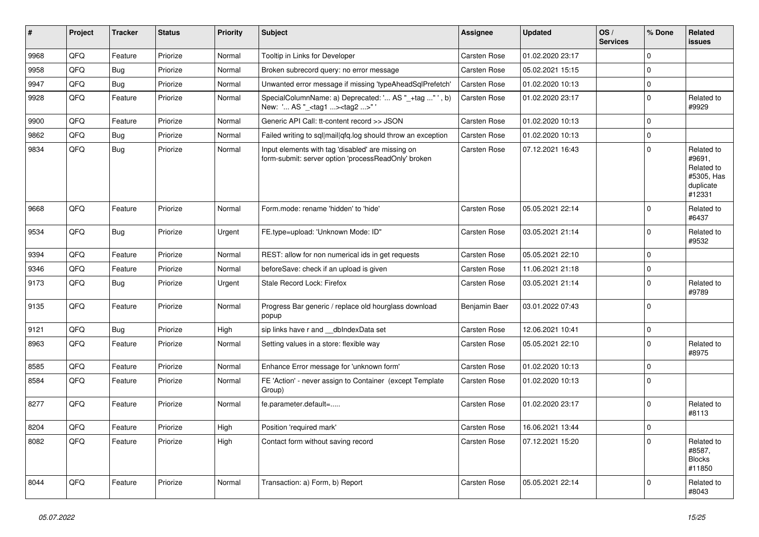| #    | Project | <b>Tracker</b> | <b>Status</b> | <b>Priority</b> | <b>Subject</b>                                                                                           | Assignee            | <b>Updated</b>   | OS/<br><b>Services</b> | % Done       | Related<br><b>issues</b>                                                |
|------|---------|----------------|---------------|-----------------|----------------------------------------------------------------------------------------------------------|---------------------|------------------|------------------------|--------------|-------------------------------------------------------------------------|
| 9968 | QFQ     | Feature        | Priorize      | Normal          | Tooltip in Links for Developer                                                                           | Carsten Rose        | 01.02.2020 23:17 |                        | $\mathbf{0}$ |                                                                         |
| 9958 | QFQ     | <b>Bug</b>     | Priorize      | Normal          | Broken subrecord query: no error message                                                                 | <b>Carsten Rose</b> | 05.02.2021 15:15 |                        | $\mathbf{0}$ |                                                                         |
| 9947 | QFQ     | <b>Bug</b>     | Priorize      | Normal          | Unwanted error message if missing 'typeAheadSqlPrefetch'                                                 | Carsten Rose        | 01.02.2020 10:13 |                        | $\mathbf 0$  |                                                                         |
| 9928 | QFQ     | Feature        | Priorize      | Normal          | SpecialColumnName: a) Deprecated: ' AS "_+tag " ', b)<br>New: ' AS "_ <tag1><tag2>"</tag2></tag1>        | <b>Carsten Rose</b> | 01.02.2020 23:17 |                        | $\mathbf{0}$ | Related to<br>#9929                                                     |
| 9900 | QFQ     | Feature        | Priorize      | Normal          | Generic API Call: tt-content record >> JSON                                                              | <b>Carsten Rose</b> | 01.02.2020 10:13 |                        | $\mathbf 0$  |                                                                         |
| 9862 | QFQ     | <b>Bug</b>     | Priorize      | Normal          | Failed writing to sql mail qfq.log should throw an exception                                             | <b>Carsten Rose</b> | 01.02.2020 10:13 |                        | $\mathsf 0$  |                                                                         |
| 9834 | QFQ     | Bug            | Priorize      | Normal          | Input elements with tag 'disabled' are missing on<br>form-submit: server option 'processReadOnly' broken | <b>Carsten Rose</b> | 07.12.2021 16:43 |                        | $\mathbf{0}$ | Related to<br>#9691,<br>Related to<br>#5305, Has<br>duplicate<br>#12331 |
| 9668 | QFQ     | Feature        | Priorize      | Normal          | Form.mode: rename 'hidden' to 'hide'                                                                     | Carsten Rose        | 05.05.2021 22:14 |                        | $\Omega$     | Related to<br>#6437                                                     |
| 9534 | QFQ     | Bug            | Priorize      | Urgent          | FE.type=upload: 'Unknown Mode: ID"                                                                       | Carsten Rose        | 03.05.2021 21:14 |                        | $\mathbf{0}$ | Related to<br>#9532                                                     |
| 9394 | QFQ     | Feature        | Priorize      | Normal          | REST: allow for non numerical ids in get requests                                                        | Carsten Rose        | 05.05.2021 22:10 |                        | $\mathbf 0$  |                                                                         |
| 9346 | QFQ     | Feature        | Priorize      | Normal          | beforeSave: check if an upload is given                                                                  | <b>Carsten Rose</b> | 11.06.2021 21:18 |                        | $\mathbf 0$  |                                                                         |
| 9173 | QFQ     | <b>Bug</b>     | Priorize      | Urgent          | Stale Record Lock: Firefox                                                                               | <b>Carsten Rose</b> | 03.05.2021 21:14 |                        | $\mathbf 0$  | Related to<br>#9789                                                     |
| 9135 | QFQ     | Feature        | Priorize      | Normal          | Progress Bar generic / replace old hourglass download<br>popup                                           | Benjamin Baer       | 03.01.2022 07:43 |                        | $\mathbf{0}$ |                                                                         |
| 9121 | QFQ     | <b>Bug</b>     | Priorize      | High            | sip links have r and dblndexData set                                                                     | <b>Carsten Rose</b> | 12.06.2021 10:41 |                        | $\mathbf 0$  |                                                                         |
| 8963 | QFQ     | Feature        | Priorize      | Normal          | Setting values in a store: flexible way                                                                  | <b>Carsten Rose</b> | 05.05.2021 22:10 |                        | $\Omega$     | Related to<br>#8975                                                     |
| 8585 | QFQ     | Feature        | Priorize      | Normal          | Enhance Error message for 'unknown form'                                                                 | <b>Carsten Rose</b> | 01.02.2020 10:13 |                        | $\mathbf 0$  |                                                                         |
| 8584 | QFQ     | Feature        | Priorize      | Normal          | FE 'Action' - never assign to Container (except Template)<br>Group)                                      | <b>Carsten Rose</b> | 01.02.2020 10:13 |                        | $\mathbf 0$  |                                                                         |
| 8277 | QFQ     | Feature        | Priorize      | Normal          | fe.parameter.default=                                                                                    | <b>Carsten Rose</b> | 01.02.2020 23:17 |                        | $\Omega$     | Related to<br>#8113                                                     |
| 8204 | QFQ     | Feature        | Priorize      | High            | Position 'required mark'                                                                                 | <b>Carsten Rose</b> | 16.06.2021 13:44 |                        | $\pmb{0}$    |                                                                         |
| 8082 | QFQ     | Feature        | Priorize      | High            | Contact form without saving record                                                                       | <b>Carsten Rose</b> | 07.12.2021 15:20 |                        | $\Omega$     | Related to<br>#8587,<br><b>Blocks</b><br>#11850                         |
| 8044 | QFQ     | Feature        | Priorize      | Normal          | Transaction: a) Form, b) Report                                                                          | <b>Carsten Rose</b> | 05.05.2021 22:14 |                        | $\mathbf 0$  | Related to<br>#8043                                                     |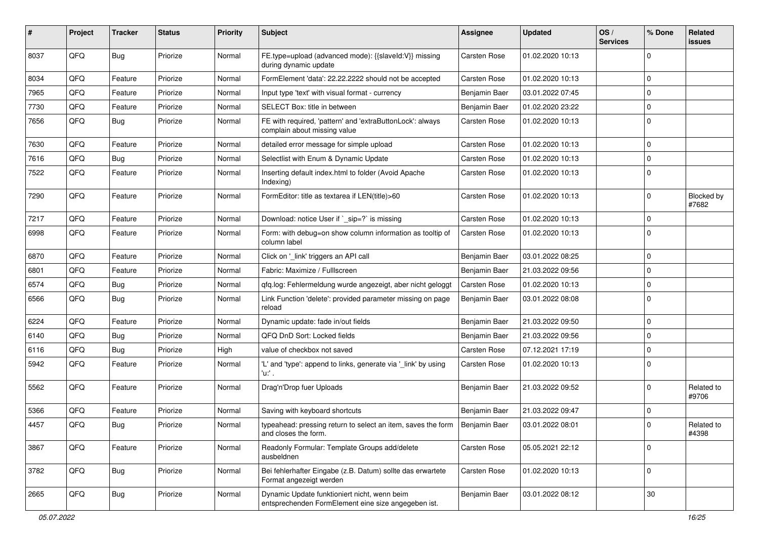| #    | Project | <b>Tracker</b> | <b>Status</b> | <b>Priority</b> | Subject                                                                                             | <b>Assignee</b>     | <b>Updated</b>   | OS/<br><b>Services</b> | % Done      | Related<br>issues   |
|------|---------|----------------|---------------|-----------------|-----------------------------------------------------------------------------------------------------|---------------------|------------------|------------------------|-------------|---------------------|
| 8037 | QFQ     | Bug            | Priorize      | Normal          | FE.type=upload (advanced mode): {{slaveId:V}} missing<br>during dynamic update                      | Carsten Rose        | 01.02.2020 10:13 |                        | 0           |                     |
| 8034 | QFQ     | Feature        | Priorize      | Normal          | FormElement 'data': 22.22.2222 should not be accepted                                               | <b>Carsten Rose</b> | 01.02.2020 10:13 |                        | $\mathbf 0$ |                     |
| 7965 | QFQ     | Feature        | Priorize      | Normal          | Input type 'text' with visual format - currency                                                     | Benjamin Baer       | 03.01.2022 07:45 |                        | 0           |                     |
| 7730 | QFQ     | Feature        | Priorize      | Normal          | SELECT Box: title in between                                                                        | Benjamin Baer       | 01.02.2020 23:22 |                        | $\mathbf 0$ |                     |
| 7656 | QFQ     | <b>Bug</b>     | Priorize      | Normal          | FE with required, 'pattern' and 'extraButtonLock': always<br>complain about missing value           | Carsten Rose        | 01.02.2020 10:13 |                        | $\mathbf 0$ |                     |
| 7630 | QFQ     | Feature        | Priorize      | Normal          | detailed error message for simple upload                                                            | Carsten Rose        | 01.02.2020 10:13 |                        | $\mathbf 0$ |                     |
| 7616 | QFQ     | <b>Bug</b>     | Priorize      | Normal          | Selectlist with Enum & Dynamic Update                                                               | Carsten Rose        | 01.02.2020 10:13 |                        | $\mathbf 0$ |                     |
| 7522 | QFQ     | Feature        | Priorize      | Normal          | Inserting default index.html to folder (Avoid Apache<br>Indexing)                                   | Carsten Rose        | 01.02.2020 10:13 |                        | $\mathbf 0$ |                     |
| 7290 | QFQ     | Feature        | Priorize      | Normal          | FormEditor: title as textarea if LEN(title)>60                                                      | Carsten Rose        | 01.02.2020 10:13 |                        | $\mathbf 0$ | Blocked by<br>#7682 |
| 7217 | QFQ     | Feature        | Priorize      | Normal          | Download: notice User if `_sip=?` is missing                                                        | <b>Carsten Rose</b> | 01.02.2020 10:13 |                        | 0           |                     |
| 6998 | QFQ     | Feature        | Priorize      | Normal          | Form: with debug=on show column information as tooltip of<br>column label                           | Carsten Rose        | 01.02.2020 10:13 |                        | $\mathbf 0$ |                     |
| 6870 | QFQ     | Feature        | Priorize      | Normal          | Click on '_link' triggers an API call                                                               | Benjamin Baer       | 03.01.2022 08:25 |                        | $\mathbf 0$ |                     |
| 6801 | QFQ     | Feature        | Priorize      | Normal          | Fabric: Maximize / FullIscreen                                                                      | Benjamin Baer       | 21.03.2022 09:56 |                        | $\mathbf 0$ |                     |
| 6574 | QFQ     | <b>Bug</b>     | Priorize      | Normal          | qfq.log: Fehlermeldung wurde angezeigt, aber nicht geloggt                                          | <b>Carsten Rose</b> | 01.02.2020 10:13 |                        | $\mathbf 0$ |                     |
| 6566 | QFQ     | Bug            | Priorize      | Normal          | Link Function 'delete': provided parameter missing on page<br>reload                                | Benjamin Baer       | 03.01.2022 08:08 |                        | $\mathbf 0$ |                     |
| 6224 | QFQ     | Feature        | Priorize      | Normal          | Dynamic update: fade in/out fields                                                                  | Benjamin Baer       | 21.03.2022 09:50 |                        | $\mathbf 0$ |                     |
| 6140 | QFQ     | Bug            | Priorize      | Normal          | QFQ DnD Sort: Locked fields                                                                         | Benjamin Baer       | 21.03.2022 09:56 |                        | $\mathbf 0$ |                     |
| 6116 | QFQ     | <b>Bug</b>     | Priorize      | High            | value of checkbox not saved                                                                         | <b>Carsten Rose</b> | 07.12.2021 17:19 |                        | 0           |                     |
| 5942 | QFQ     | Feature        | Priorize      | Normal          | 'L' and 'type': append to links, generate via '_link' by using<br>'u.' .                            | Carsten Rose        | 01.02.2020 10:13 |                        | $\mathbf 0$ |                     |
| 5562 | QFQ     | Feature        | Priorize      | Normal          | Drag'n'Drop fuer Uploads                                                                            | Benjamin Baer       | 21.03.2022 09:52 |                        | $\mathbf 0$ | Related to<br>#9706 |
| 5366 | QFQ     | Feature        | Priorize      | Normal          | Saving with keyboard shortcuts                                                                      | Benjamin Baer       | 21.03.2022 09:47 |                        | $\mathbf 0$ |                     |
| 4457 | QFQ     | <b>Bug</b>     | Priorize      | Normal          | typeahead: pressing return to select an item, saves the form<br>and closes the form.                | Benjamin Baer       | 03.01.2022 08:01 |                        | $\mathbf 0$ | Related to<br>#4398 |
| 3867 | QFQ     | Feature        | Priorize      | Normal          | Readonly Formular: Template Groups add/delete<br>ausbeldnen                                         | Carsten Rose        | 05.05.2021 22:12 |                        | 0           |                     |
| 3782 | QFQ     | Bug            | Priorize      | Normal          | Bei fehlerhafter Eingabe (z.B. Datum) sollte das erwartete<br>Format angezeigt werden               | Carsten Rose        | 01.02.2020 10:13 |                        | 0           |                     |
| 2665 | QFQ     | <b>Bug</b>     | Priorize      | Normal          | Dynamic Update funktioniert nicht, wenn beim<br>entsprechenden FormElement eine size angegeben ist. | Benjamin Baer       | 03.01.2022 08:12 |                        | $30\,$      |                     |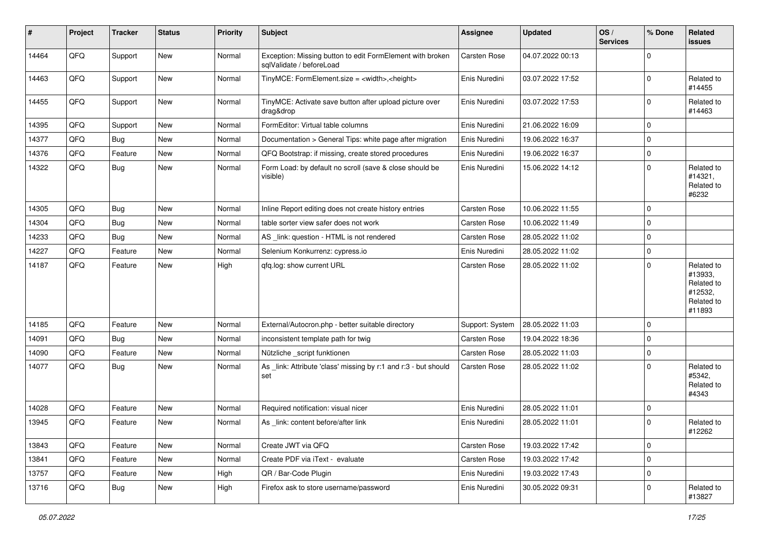| ∦     | Project | <b>Tracker</b> | <b>Status</b> | <b>Priority</b> | <b>Subject</b>                                                                        | <b>Assignee</b>     | <b>Updated</b>   | OS/<br><b>Services</b> | % Done      | Related<br>issues                                                      |
|-------|---------|----------------|---------------|-----------------|---------------------------------------------------------------------------------------|---------------------|------------------|------------------------|-------------|------------------------------------------------------------------------|
| 14464 | QFQ     | Support        | New           | Normal          | Exception: Missing button to edit FormElement with broken<br>sqlValidate / beforeLoad | Carsten Rose        | 04.07.2022 00:13 |                        | $\Omega$    |                                                                        |
| 14463 | QFQ     | Support        | New           | Normal          | TinyMCE: FormElement.size = <width>,<height></height></width>                         | Enis Nuredini       | 03.07.2022 17:52 |                        | $\Omega$    | Related to<br>#14455                                                   |
| 14455 | QFQ     | Support        | New           | Normal          | TinyMCE: Activate save button after upload picture over<br>drag&drop                  | Enis Nuredini       | 03.07.2022 17:53 |                        | $\Omega$    | Related to<br>#14463                                                   |
| 14395 | QFQ     | Support        | New           | Normal          | FormEditor: Virtual table columns                                                     | Enis Nuredini       | 21.06.2022 16:09 |                        | $\mathbf 0$ |                                                                        |
| 14377 | QFQ     | <b>Bug</b>     | New           | Normal          | Documentation > General Tips: white page after migration                              | Enis Nuredini       | 19.06.2022 16:37 |                        | $\Omega$    |                                                                        |
| 14376 | QFQ     | Feature        | <b>New</b>    | Normal          | QFQ Bootstrap: if missing, create stored procedures                                   | Enis Nuredini       | 19.06.2022 16:37 |                        | $\mathbf 0$ |                                                                        |
| 14322 | QFQ     | <b>Bug</b>     | New           | Normal          | Form Load: by default no scroll (save & close should be<br>visible)                   | Enis Nuredini       | 15.06.2022 14:12 |                        | $\Omega$    | Related to<br>#14321,<br>Related to<br>#6232                           |
| 14305 | QFQ     | <b>Bug</b>     | <b>New</b>    | Normal          | Inline Report editing does not create history entries                                 | <b>Carsten Rose</b> | 10.06.2022 11:55 |                        | $\mathbf 0$ |                                                                        |
| 14304 | QFQ     | <b>Bug</b>     | New           | Normal          | table sorter view safer does not work                                                 | <b>Carsten Rose</b> | 10.06.2022 11:49 |                        | $\Omega$    |                                                                        |
| 14233 | QFQ     | <b>Bug</b>     | New           | Normal          | AS _link: question - HTML is not rendered                                             | <b>Carsten Rose</b> | 28.05.2022 11:02 |                        | $\mathbf 0$ |                                                                        |
| 14227 | QFQ     | Feature        | <b>New</b>    | Normal          | Selenium Konkurrenz: cypress.io                                                       | Enis Nuredini       | 28.05.2022 11:02 |                        | $\mathbf 0$ |                                                                        |
| 14187 | QFQ     | Feature        | New           | High            | qfq.log: show current URL                                                             | <b>Carsten Rose</b> | 28.05.2022 11:02 |                        | $\Omega$    | Related to<br>#13933,<br>Related to<br>#12532,<br>Related to<br>#11893 |
| 14185 | QFQ     | Feature        | New           | Normal          | External/Autocron.php - better suitable directory                                     | Support: System     | 28.05.2022 11:03 |                        | $\mathbf 0$ |                                                                        |
| 14091 | QFQ     | <b>Bug</b>     | <b>New</b>    | Normal          | inconsistent template path for twig                                                   | Carsten Rose        | 19.04.2022 18:36 |                        | $\mathbf 0$ |                                                                        |
| 14090 | QFQ     | Feature        | <b>New</b>    | Normal          | Nützliche _script funktionen                                                          | Carsten Rose        | 28.05.2022 11:03 |                        | $\Omega$    |                                                                        |
| 14077 | QFQ     | <b>Bug</b>     | New           | Normal          | As _link: Attribute 'class' missing by r:1 and r:3 - but should<br>set                | Carsten Rose        | 28.05.2022 11:02 |                        | $\Omega$    | Related to<br>#5342,<br>Related to<br>#4343                            |
| 14028 | QFQ     | Feature        | New           | Normal          | Required notification: visual nicer                                                   | Enis Nuredini       | 28.05.2022 11:01 |                        | $\mathbf 0$ |                                                                        |
| 13945 | QFQ     | Feature        | New           | Normal          | As link: content before/after link                                                    | Enis Nuredini       | 28.05.2022 11:01 |                        | $\Omega$    | Related to<br>#12262                                                   |
| 13843 | QFQ     | Feature        | New           | Normal          | Create JWT via QFQ                                                                    | Carsten Rose        | 19.03.2022 17:42 |                        | $\mathbf 0$ |                                                                        |
| 13841 | QFQ     | Feature        | New           | Normal          | Create PDF via iText - evaluate                                                       | Carsten Rose        | 19.03.2022 17:42 |                        | $\mathbf 0$ |                                                                        |
| 13757 | QFQ     | Feature        | New           | High            | QR / Bar-Code Plugin                                                                  | Enis Nuredini       | 19.03.2022 17:43 |                        | $\mathbf 0$ |                                                                        |
| 13716 | QFQ     | <b>Bug</b>     | New           | High            | Firefox ask to store username/password                                                | Enis Nuredini       | 30.05.2022 09:31 |                        | $\mathbf 0$ | Related to<br>#13827                                                   |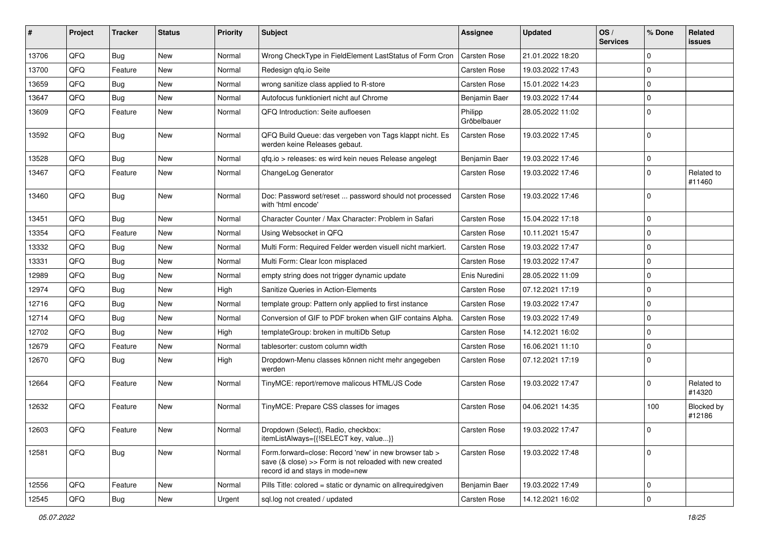| #     | Project | <b>Tracker</b> | <b>Status</b> | <b>Priority</b> | Subject                                                                                                                                             | Assignee               | <b>Updated</b>   | OS/<br><b>Services</b> | % Done         | Related<br>issues    |
|-------|---------|----------------|---------------|-----------------|-----------------------------------------------------------------------------------------------------------------------------------------------------|------------------------|------------------|------------------------|----------------|----------------------|
| 13706 | QFQ     | Bug            | <b>New</b>    | Normal          | Wrong CheckType in FieldElement LastStatus of Form Cron                                                                                             | Carsten Rose           | 21.01.2022 18:20 |                        | $\Omega$       |                      |
| 13700 | QFQ     | Feature        | New           | Normal          | Redesign gfg.io Seite                                                                                                                               | Carsten Rose           | 19.03.2022 17:43 |                        | $\Omega$       |                      |
| 13659 | QFQ     | <b>Bug</b>     | <b>New</b>    | Normal          | wrong sanitize class applied to R-store                                                                                                             | <b>Carsten Rose</b>    | 15.01.2022 14:23 |                        | $\Omega$       |                      |
| 13647 | QFQ     | Bug            | <b>New</b>    | Normal          | Autofocus funktioniert nicht auf Chrome                                                                                                             | Benjamin Baer          | 19.03.2022 17:44 |                        | $\Omega$       |                      |
| 13609 | QFQ     | Feature        | <b>New</b>    | Normal          | QFQ Introduction: Seite aufloesen                                                                                                                   | Philipp<br>Gröbelbauer | 28.05.2022 11:02 |                        | $\Omega$       |                      |
| 13592 | QFQ     | Bug            | <b>New</b>    | Normal          | QFQ Build Queue: das vergeben von Tags klappt nicht. Es<br>werden keine Releases gebaut.                                                            | Carsten Rose           | 19.03.2022 17:45 |                        | $\Omega$       |                      |
| 13528 | QFQ     | <b>Bug</b>     | <b>New</b>    | Normal          | qfq.io > releases: es wird kein neues Release angelegt                                                                                              | Benjamin Baer          | 19.03.2022 17:46 |                        | $\mathbf 0$    |                      |
| 13467 | QFQ     | Feature        | New           | Normal          | ChangeLog Generator                                                                                                                                 | <b>Carsten Rose</b>    | 19.03.2022 17:46 |                        | $\Omega$       | Related to<br>#11460 |
| 13460 | QFQ     | <b>Bug</b>     | <b>New</b>    | Normal          | Doc: Password set/reset  password should not processed<br>with 'html encode'                                                                        | <b>Carsten Rose</b>    | 19.03.2022 17:46 |                        | $\Omega$       |                      |
| 13451 | QFQ     | <b>Bug</b>     | <b>New</b>    | Normal          | Character Counter / Max Character: Problem in Safari                                                                                                | <b>Carsten Rose</b>    | 15.04.2022 17:18 |                        | $\mathbf 0$    |                      |
| 13354 | QFQ     | Feature        | <b>New</b>    | Normal          | Using Websocket in QFQ                                                                                                                              | Carsten Rose           | 10.11.2021 15:47 |                        | $\Omega$       |                      |
| 13332 | QFQ     | <b>Bug</b>     | New           | Normal          | Multi Form: Required Felder werden visuell nicht markiert.                                                                                          | <b>Carsten Rose</b>    | 19.03.2022 17:47 |                        | $\mathbf 0$    |                      |
| 13331 | QFQ     | <b>Bug</b>     | <b>New</b>    | Normal          | Multi Form: Clear Icon misplaced                                                                                                                    | <b>Carsten Rose</b>    | 19.03.2022 17:47 |                        | $\Omega$       |                      |
| 12989 | QFQ     | <b>Bug</b>     | <b>New</b>    | Normal          | empty string does not trigger dynamic update                                                                                                        | Enis Nuredini          | 28.05.2022 11:09 |                        | $\Omega$       |                      |
| 12974 | QFQ     | <b>Bug</b>     | <b>New</b>    | High            | Sanitize Queries in Action-Elements                                                                                                                 | Carsten Rose           | 07.12.2021 17:19 |                        | $\Omega$       |                      |
| 12716 | QFQ     | <b>Bug</b>     | <b>New</b>    | Normal          | template group: Pattern only applied to first instance                                                                                              | <b>Carsten Rose</b>    | 19.03.2022 17:47 |                        | $\Omega$       |                      |
| 12714 | QFQ     | Bug            | <b>New</b>    | Normal          | Conversion of GIF to PDF broken when GIF contains Alpha.                                                                                            | Carsten Rose           | 19.03.2022 17:49 |                        | $\mathbf 0$    |                      |
| 12702 | QFQ     | <b>Bug</b>     | <b>New</b>    | High            | templateGroup: broken in multiDb Setup                                                                                                              | Carsten Rose           | 14.12.2021 16:02 |                        | $\Omega$       |                      |
| 12679 | QFQ     | Feature        | New           | Normal          | tablesorter: custom column width                                                                                                                    | <b>Carsten Rose</b>    | 16.06.2021 11:10 |                        | $\mathbf 0$    |                      |
| 12670 | QFQ     | <b>Bug</b>     | New           | High            | Dropdown-Menu classes können nicht mehr angegeben<br>werden                                                                                         | Carsten Rose           | 07.12.2021 17:19 |                        | $\Omega$       |                      |
| 12664 | QFQ     | Feature        | <b>New</b>    | Normal          | TinyMCE: report/remove malicous HTML/JS Code                                                                                                        | Carsten Rose           | 19.03.2022 17:47 |                        | $\Omega$       | Related to<br>#14320 |
| 12632 | QFQ     | Feature        | <b>New</b>    | Normal          | TinyMCE: Prepare CSS classes for images                                                                                                             | Carsten Rose           | 04.06.2021 14:35 |                        | 100            | Blocked by<br>#12186 |
| 12603 | QFQ     | Feature        | New           | Normal          | Dropdown (Select), Radio, checkbox:<br>itemListAlways={{!SELECT key, value}}                                                                        | Carsten Rose           | 19.03.2022 17:47 |                        |                |                      |
| 12581 | QFQ     | <b>Bug</b>     | New           | Normal          | Form.forward=close: Record 'new' in new browser tab ><br>save (& close) >> Form is not reloaded with new created<br>record id and stays in mode=new | Carsten Rose           | 19.03.2022 17:48 |                        | $\overline{0}$ |                      |
| 12556 | QFQ     | Feature        | New           | Normal          | Pills Title: colored = static or dynamic on allrequiredgiven                                                                                        | Benjamin Baer          | 19.03.2022 17:49 |                        | $\mathbf 0$    |                      |
| 12545 | QFQ     | <b>Bug</b>     | New           | Urgent          | sql.log not created / updated                                                                                                                       | <b>Carsten Rose</b>    | 14.12.2021 16:02 |                        | $\overline{0}$ |                      |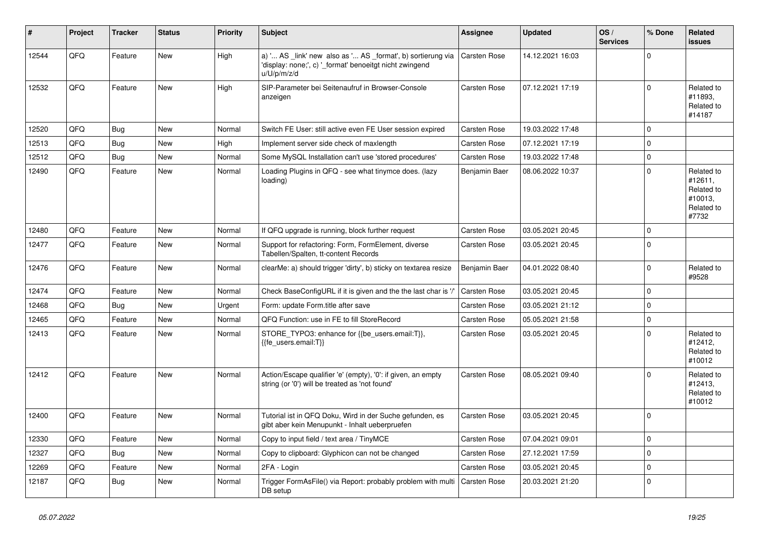| $\vert$ # | Project | <b>Tracker</b> | <b>Status</b> | <b>Priority</b> | <b>Subject</b>                                                                                                                        | <b>Assignee</b>     | <b>Updated</b>   | OS/<br><b>Services</b> | % Done         | Related<br><b>issues</b>                                              |
|-----------|---------|----------------|---------------|-----------------|---------------------------------------------------------------------------------------------------------------------------------------|---------------------|------------------|------------------------|----------------|-----------------------------------------------------------------------|
| 12544     | QFQ     | Feature        | <b>New</b>    | High            | a) ' AS _link' new also as ' AS _format', b) sortierung via<br>'display: none;', c) '_format' benoeitgt nicht zwingend<br>u/U/p/m/z/d | <b>Carsten Rose</b> | 14.12.2021 16:03 |                        | $\mathbf 0$    |                                                                       |
| 12532     | QFQ     | Feature        | <b>New</b>    | High            | SIP-Parameter bei Seitenaufruf in Browser-Console<br>anzeigen                                                                         | Carsten Rose        | 07.12.2021 17:19 |                        | $\Omega$       | Related to<br>#11893.<br>Related to<br>#14187                         |
| 12520     | QFQ     | Bug            | New           | Normal          | Switch FE User: still active even FE User session expired                                                                             | <b>Carsten Rose</b> | 19.03.2022 17:48 |                        | $\mathbf 0$    |                                                                       |
| 12513     | QFQ     | Bug            | <b>New</b>    | High            | Implement server side check of maxlength                                                                                              | <b>Carsten Rose</b> | 07.12.2021 17:19 |                        | $\Omega$       |                                                                       |
| 12512     | QFQ     | Bug            | <b>New</b>    | Normal          | Some MySQL Installation can't use 'stored procedures'                                                                                 | Carsten Rose        | 19.03.2022 17:48 |                        | $\mathbf 0$    |                                                                       |
| 12490     | QFQ     | Feature        | <b>New</b>    | Normal          | Loading Plugins in QFQ - see what tinymce does. (lazy<br>loading)                                                                     | Benjamin Baer       | 08.06.2022 10:37 |                        | $\Omega$       | Related to<br>#12611.<br>Related to<br>#10013,<br>Related to<br>#7732 |
| 12480     | QFQ     | Feature        | <b>New</b>    | Normal          | If QFQ upgrade is running, block further request                                                                                      | <b>Carsten Rose</b> | 03.05.2021 20:45 |                        | $\mathbf 0$    |                                                                       |
| 12477     | QFQ     | Feature        | <b>New</b>    | Normal          | Support for refactoring: Form, FormElement, diverse<br>Tabellen/Spalten, tt-content Records                                           | Carsten Rose        | 03.05.2021 20:45 |                        | $\Omega$       |                                                                       |
| 12476     | QFQ     | Feature        | <b>New</b>    | Normal          | clearMe: a) should trigger 'dirty', b) sticky on textarea resize                                                                      | Benjamin Baer       | 04.01.2022 08:40 |                        | $\mathbf 0$    | Related to<br>#9528                                                   |
| 12474     | OFQ     | Feature        | <b>New</b>    | Normal          | Check BaseConfigURL if it is given and the the last char is '/                                                                        | Carsten Rose        | 03.05.2021 20:45 |                        | $\Omega$       |                                                                       |
| 12468     | QFQ     | Bug            | <b>New</b>    | Urgent          | Form: update Form.title after save                                                                                                    | <b>Carsten Rose</b> | 03.05.2021 21:12 |                        | $\Omega$       |                                                                       |
| 12465     | QFQ     | Feature        | <b>New</b>    | Normal          | QFQ Function: use in FE to fill StoreRecord                                                                                           | Carsten Rose        | 05.05.2021 21:58 |                        | $\Omega$       |                                                                       |
| 12413     | QFQ     | Feature        | <b>New</b>    | Normal          | STORE_TYPO3: enhance for {{be_users.email:T}},<br>{{fe users.email:T}}                                                                | <b>Carsten Rose</b> | 03.05.2021 20:45 |                        | $\Omega$       | Related to<br>#12412,<br>Related to<br>#10012                         |
| 12412     | QFQ     | Feature        | <b>New</b>    | Normal          | Action/Escape qualifier 'e' (empty), '0': if given, an empty<br>string (or '0') will be treated as 'not found'                        | <b>Carsten Rose</b> | 08.05.2021 09:40 |                        | $\Omega$       | Related to<br>#12413,<br>Related to<br>#10012                         |
| 12400     | QFQ     | Feature        | <b>New</b>    | Normal          | Tutorial ist in QFQ Doku, Wird in der Suche gefunden, es<br>gibt aber kein Menupunkt - Inhalt ueberpruefen                            | <b>Carsten Rose</b> | 03.05.2021 20:45 |                        | $\Omega$       |                                                                       |
| 12330     | QFQ     | Feature        | <b>New</b>    | Normal          | Copy to input field / text area / TinyMCE                                                                                             | Carsten Rose        | 07.04.2021 09:01 |                        | $\mathbf 0$    |                                                                       |
| 12327     | QFQ     | Bug            | <b>New</b>    | Normal          | Copy to clipboard: Glyphicon can not be changed                                                                                       | <b>Carsten Rose</b> | 27.12.2021 17:59 |                        | $\overline{0}$ |                                                                       |
| 12269     | QFQ     | Feature        | <b>New</b>    | Normal          | 2FA - Login                                                                                                                           | Carsten Rose        | 03.05.2021 20:45 |                        | $\Omega$       |                                                                       |
| 12187     | QFQ     | Bug            | <b>New</b>    | Normal          | Trigger FormAsFile() via Report: probably problem with multi<br>DB setup                                                              | Carsten Rose        | 20.03.2021 21:20 |                        | $\overline{0}$ |                                                                       |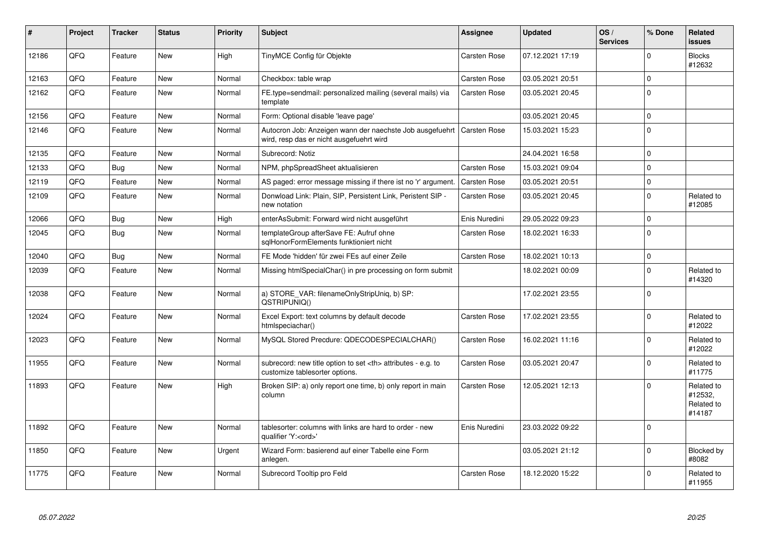| #     | <b>Project</b> | <b>Tracker</b> | <b>Status</b> | <b>Priority</b> | <b>Subject</b>                                                                                       | Assignee                                               | <b>Updated</b>      | OS/<br><b>Services</b> | % Done      | Related<br><b>issues</b>                      |                      |
|-------|----------------|----------------|---------------|-----------------|------------------------------------------------------------------------------------------------------|--------------------------------------------------------|---------------------|------------------------|-------------|-----------------------------------------------|----------------------|
| 12186 | QFQ            | Feature        | <b>New</b>    | High            | TinyMCE Config für Objekte                                                                           | <b>Carsten Rose</b>                                    | 07.12.2021 17:19    |                        | $\Omega$    | <b>Blocks</b><br>#12632                       |                      |
| 12163 | QFQ            | Feature        | <b>New</b>    | Normal          | Checkbox: table wrap                                                                                 | <b>Carsten Rose</b>                                    | 03.05.2021 20:51    |                        | $\Omega$    |                                               |                      |
| 12162 | QFQ            | Feature        | <b>New</b>    | Normal          | FE.type=sendmail: personalized mailing (several mails) via<br>template                               | <b>Carsten Rose</b>                                    | 03.05.2021 20:45    |                        | $\mathbf 0$ |                                               |                      |
| 12156 | OFQ            | Feature        | <b>New</b>    | Normal          | Form: Optional disable 'leave page'                                                                  |                                                        | 03.05.2021 20:45    |                        | $\Omega$    |                                               |                      |
| 12146 | QFQ            | Feature        | <b>New</b>    | Normal          | Autocron Job: Anzeigen wann der naechste Job ausgefuehrt<br>wird, resp das er nicht ausgefuehrt wird | <b>Carsten Rose</b>                                    | 15.03.2021 15:23    |                        | $\Omega$    |                                               |                      |
| 12135 | QFQ            | Feature        | <b>New</b>    | Normal          | Subrecord: Notiz                                                                                     |                                                        | 24.04.2021 16:58    |                        | $\mathbf 0$ |                                               |                      |
| 12133 | QFQ            | Bug            | <b>New</b>    | Normal          | NPM, phpSpreadSheet aktualisieren                                                                    | <b>Carsten Rose</b>                                    | 15.03.2021 09:04    |                        | $\Omega$    |                                               |                      |
| 12119 | QFQ            | Feature        | <b>New</b>    | Normal          | AS paged: error message missing if there ist no 'r' argument                                         | Carsten Rose                                           | 03.05.2021 20:51    |                        | $\Omega$    |                                               |                      |
| 12109 | QFQ            | Feature        | New           | Normal          | Donwload Link: Plain, SIP, Persistent Link, Peristent SIP -<br>new notation                          | Carsten Rose                                           | 03.05.2021 20:45    |                        | $\mathbf 0$ | Related to<br>#12085                          |                      |
| 12066 | QFQ            | <b>Bug</b>     | <b>New</b>    | High            | enterAsSubmit: Forward wird nicht ausgeführt                                                         | Enis Nuredini                                          | 29.05.2022 09:23    |                        | $\Omega$    |                                               |                      |
| 12045 | QFQ            | Bug            | <b>New</b>    | Normal          | templateGroup afterSave FE: Aufruf ohne<br>sqlHonorFormElements funktioniert nicht                   | <b>Carsten Rose</b>                                    | 18.02.2021 16:33    |                        | $\Omega$    |                                               |                      |
| 12040 | QFQ            | Bug            | <b>New</b>    | Normal          | FE Mode 'hidden' für zwei FEs auf einer Zeile                                                        | <b>Carsten Rose</b>                                    | 18.02.2021 10:13    |                        | $\mathbf 0$ |                                               |                      |
| 12039 | QFQ            | Feature        | <b>New</b>    | Normal          | Missing htmlSpecialChar() in pre processing on form submit                                           |                                                        | 18.02.2021 00:09    |                        | $\Omega$    | Related to<br>#14320                          |                      |
| 12038 | QFQ            | Feature        | <b>New</b>    | Normal          | a) STORE VAR: filenameOnlyStripUniq, b) SP:<br>QSTRIPUNIQ()                                          |                                                        | 17.02.2021 23:55    |                        | $\Omega$    |                                               |                      |
| 12024 | QFQ            | Feature        | <b>New</b>    | Normal          | Excel Export: text columns by default decode<br>htmlspeciachar()                                     | Carsten Rose                                           | 17.02.2021 23:55    |                        | $\Omega$    | Related to<br>#12022                          |                      |
| 12023 | QFQ            | Feature        | <b>New</b>    | Normal          | MySQL Stored Precdure: QDECODESPECIALCHAR()                                                          | <b>Carsten Rose</b>                                    | 16.02.2021 11:16    |                        | $\Omega$    | Related to<br>#12022                          |                      |
| 11955 | QFQ            | Feature        | <b>New</b>    | Normal          | subrecord: new title option to set <th> attributes - e.g. to<br/>customize tablesorter options.</th> | attributes - e.g. to<br>customize tablesorter options. | <b>Carsten Rose</b> | 03.05.2021 20:47       |             | $\Omega$                                      | Related to<br>#11775 |
| 11893 | QFQ            | Feature        | <b>New</b>    | High            | Broken SIP: a) only report one time, b) only report in main<br>column                                | Carsten Rose                                           | 12.05.2021 12:13    |                        | $\Omega$    | Related to<br>#12532,<br>Related to<br>#14187 |                      |
| 11892 | QFQ            | Feature        | <b>New</b>    | Normal          | tablesorter: columns with links are hard to order - new<br>qualifier 'Y: <ord>'</ord>                | Enis Nuredini                                          | 23.03.2022 09:22    |                        | 0           |                                               |                      |
| 11850 | QFQ            | Feature        | <b>New</b>    | Urgent          | Wizard Form: basierend auf einer Tabelle eine Form<br>anlegen.                                       |                                                        | 03.05.2021 21:12    |                        | $\Omega$    | Blocked by<br>#8082                           |                      |
| 11775 | QFQ            | Feature        | <b>New</b>    | Normal          | Subrecord Tooltip pro Feld                                                                           | <b>Carsten Rose</b>                                    | 18.12.2020 15:22    |                        | $\Omega$    | Related to<br>#11955                          |                      |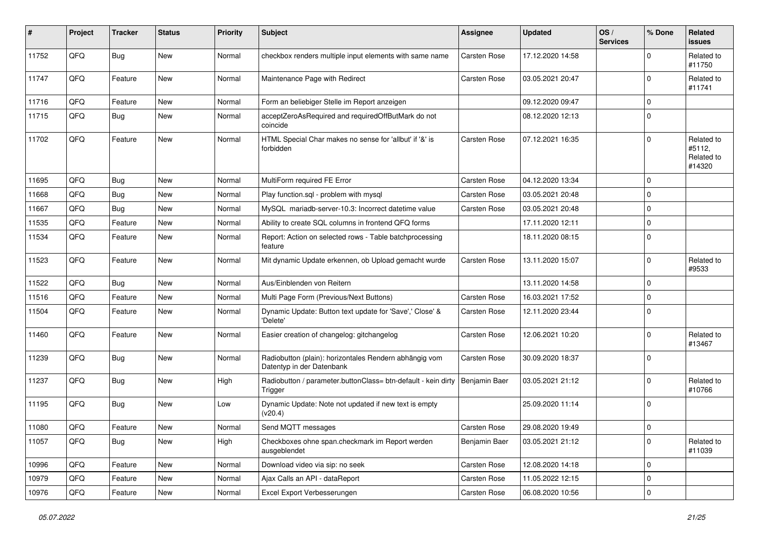| #     | Project | <b>Tracker</b> | <b>Status</b> | <b>Priority</b> | Subject                                                                             | <b>Assignee</b>     | <b>Updated</b>   | OS/<br><b>Services</b> | % Done       | Related<br><b>issues</b>                     |
|-------|---------|----------------|---------------|-----------------|-------------------------------------------------------------------------------------|---------------------|------------------|------------------------|--------------|----------------------------------------------|
| 11752 | QFQ     | <b>Bug</b>     | New           | Normal          | checkbox renders multiple input elements with same name                             | <b>Carsten Rose</b> | 17.12.2020 14:58 |                        | <sup>0</sup> | Related to<br>#11750                         |
| 11747 | QFQ     | Feature        | New           | Normal          | Maintenance Page with Redirect                                                      | <b>Carsten Rose</b> | 03.05.2021 20:47 |                        | $\Omega$     | Related to<br>#11741                         |
| 11716 | QFQ     | Feature        | <b>New</b>    | Normal          | Form an beliebiger Stelle im Report anzeigen                                        |                     | 09.12.2020 09:47 |                        | $\Omega$     |                                              |
| 11715 | QFQ     | <b>Bug</b>     | New           | Normal          | acceptZeroAsRequired and requiredOffButMark do not<br>coincide                      |                     | 08.12.2020 12:13 |                        | $\Omega$     |                                              |
| 11702 | QFQ     | Feature        | <b>New</b>    | Normal          | HTML Special Char makes no sense for 'allbut' if '&' is<br>forbidden                | <b>Carsten Rose</b> | 07.12.2021 16:35 |                        | $\Omega$     | Related to<br>#5112,<br>Related to<br>#14320 |
| 11695 | QFQ     | Bug            | New           | Normal          | MultiForm required FE Error                                                         | <b>Carsten Rose</b> | 04.12.2020 13:34 |                        | $\Omega$     |                                              |
| 11668 | QFQ     | <b>Bug</b>     | New           | Normal          | Play function.sql - problem with mysql                                              | <b>Carsten Rose</b> | 03.05.2021 20:48 |                        | $\Omega$     |                                              |
| 11667 | QFQ     | <b>Bug</b>     | New           | Normal          | MySQL mariadb-server-10.3: Incorrect datetime value                                 | <b>Carsten Rose</b> | 03.05.2021 20:48 |                        | $\mathbf 0$  |                                              |
| 11535 | QFQ     | Feature        | <b>New</b>    | Normal          | Ability to create SQL columns in frontend QFQ forms                                 |                     | 17.11.2020 12:11 |                        | $\Omega$     |                                              |
| 11534 | QFQ     | Feature        | New           | Normal          | Report: Action on selected rows - Table batchprocessing<br>feature                  |                     | 18.11.2020 08:15 |                        | $\Omega$     |                                              |
| 11523 | QFQ     | Feature        | New           | Normal          | Mit dynamic Update erkennen, ob Upload gemacht wurde                                | <b>Carsten Rose</b> | 13.11.2020 15:07 |                        | $\mathbf 0$  | Related to<br>#9533                          |
| 11522 | QFQ     | Bug            | <b>New</b>    | Normal          | Aus/Einblenden von Reitern                                                          |                     | 13.11.2020 14:58 |                        | $\Omega$     |                                              |
| 11516 | QFQ     | Feature        | New           | Normal          | Multi Page Form (Previous/Next Buttons)                                             | <b>Carsten Rose</b> | 16.03.2021 17:52 |                        | $\mathbf 0$  |                                              |
| 11504 | QFQ     | Feature        | New           | Normal          | Dynamic Update: Button text update for 'Save',' Close' &<br>'Delete'                | Carsten Rose        | 12.11.2020 23:44 |                        | $\Omega$     |                                              |
| 11460 | QFQ     | Feature        | <b>New</b>    | Normal          | Easier creation of changelog: gitchangelog                                          | <b>Carsten Rose</b> | 12.06.2021 10:20 |                        | $\Omega$     | Related to<br>#13467                         |
| 11239 | QFQ     | <b>Bug</b>     | <b>New</b>    | Normal          | Radiobutton (plain): horizontales Rendern abhängig vom<br>Datentyp in der Datenbank | Carsten Rose        | 30.09.2020 18:37 |                        | $\Omega$     |                                              |
| 11237 | QFQ     | <b>Bug</b>     | <b>New</b>    | High            | Radiobutton / parameter.buttonClass= btn-default - kein dirty<br>Trigger            | Benjamin Baer       | 03.05.2021 21:12 |                        | $\mathbf 0$  | Related to<br>#10766                         |
| 11195 | QFQ     | <b>Bug</b>     | New           | Low             | Dynamic Update: Note not updated if new text is empty<br>(v20.4)                    |                     | 25.09.2020 11:14 |                        | $\Omega$     |                                              |
| 11080 | QFQ     | Feature        | New           | Normal          | Send MQTT messages                                                                  | Carsten Rose        | 29.08.2020 19:49 |                        | 0            |                                              |
| 11057 | QFQ     | <b>Bug</b>     | New           | High            | Checkboxes ohne span.checkmark im Report werden<br>ausgeblendet                     | Benjamin Baer       | 03.05.2021 21:12 |                        | $\mathbf 0$  | Related to<br>#11039                         |
| 10996 | QFQ     | Feature        | New           | Normal          | Download video via sip: no seek                                                     | Carsten Rose        | 12.08.2020 14:18 |                        | $\mathbf 0$  |                                              |
| 10979 | QFQ     | Feature        | New           | Normal          | Ajax Calls an API - dataReport                                                      | Carsten Rose        | 11.05.2022 12:15 |                        | 0            |                                              |
| 10976 | QFQ     | Feature        | New           | Normal          | Excel Export Verbesserungen                                                         | Carsten Rose        | 06.08.2020 10:56 |                        | 0            |                                              |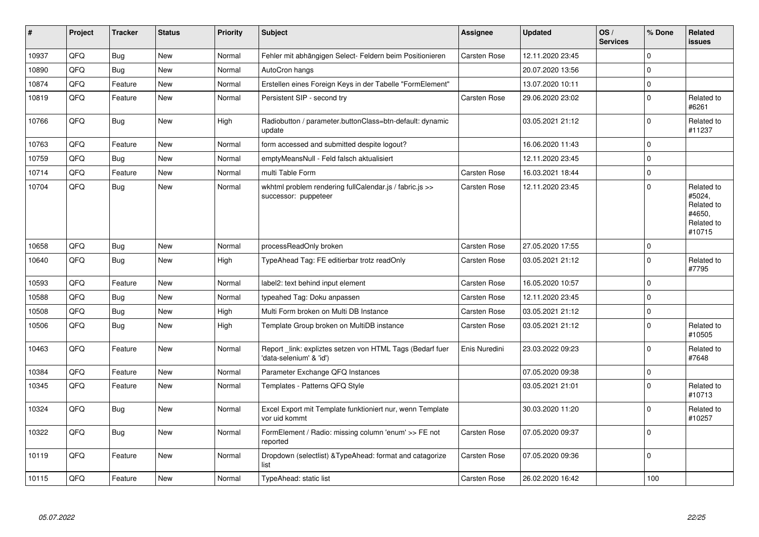| #     | Project | <b>Tracker</b> | <b>Status</b> | Priority | <b>Subject</b>                                                                      | Assignee            | <b>Updated</b>   | OS/<br><b>Services</b> | % Done       | Related<br><b>issues</b>                                             |
|-------|---------|----------------|---------------|----------|-------------------------------------------------------------------------------------|---------------------|------------------|------------------------|--------------|----------------------------------------------------------------------|
| 10937 | QFQ     | <b>Bug</b>     | <b>New</b>    | Normal   | Fehler mit abhängigen Select- Feldern beim Positionieren                            | <b>Carsten Rose</b> | 12.11.2020 23:45 |                        | $\Omega$     |                                                                      |
| 10890 | QFQ     | <b>Bug</b>     | <b>New</b>    | Normal   | AutoCron hangs                                                                      |                     | 20.07.2020 13:56 |                        | $\Omega$     |                                                                      |
| 10874 | QFQ     | Feature        | <b>New</b>    | Normal   | Erstellen eines Foreign Keys in der Tabelle "FormElement"                           |                     | 13.07.2020 10:11 |                        | $\Omega$     |                                                                      |
| 10819 | QFQ     | Feature        | <b>New</b>    | Normal   | Persistent SIP - second try                                                         | <b>Carsten Rose</b> | 29.06.2020 23:02 |                        | $\Omega$     | Related to<br>#6261                                                  |
| 10766 | QFQ     | Bug            | New           | High     | Radiobutton / parameter.buttonClass=btn-default: dynamic<br>update                  |                     | 03.05.2021 21:12 |                        | $\Omega$     | Related to<br>#11237                                                 |
| 10763 | QFQ     | Feature        | <b>New</b>    | Normal   | form accessed and submitted despite logout?                                         |                     | 16.06.2020 11:43 |                        | $\Omega$     |                                                                      |
| 10759 | QFQ     | <b>Bug</b>     | <b>New</b>    | Normal   | emptyMeansNull - Feld falsch aktualisiert                                           |                     | 12.11.2020 23:45 |                        | $\Omega$     |                                                                      |
| 10714 | QFQ     | Feature        | <b>New</b>    | Normal   | multi Table Form                                                                    | <b>Carsten Rose</b> | 16.03.2021 18:44 |                        | $\mathbf 0$  |                                                                      |
| 10704 | QFQ     | Bug            | New           | Normal   | wkhtml problem rendering fullCalendar.js / fabric.js >><br>successor: puppeteer     | Carsten Rose        | 12.11.2020 23:45 |                        | $\Omega$     | Related to<br>#5024,<br>Related to<br>#4650.<br>Related to<br>#10715 |
| 10658 | QFQ     | <b>Bug</b>     | <b>New</b>    | Normal   | processReadOnly broken                                                              | <b>Carsten Rose</b> | 27.05.2020 17:55 |                        | $\mathbf 0$  |                                                                      |
| 10640 | QFQ     | <b>Bug</b>     | <b>New</b>    | High     | TypeAhead Tag: FE editierbar trotz readOnly                                         | <b>Carsten Rose</b> | 03.05.2021 21:12 |                        | $\Omega$     | Related to<br>#7795                                                  |
| 10593 | QFQ     | Feature        | <b>New</b>    | Normal   | label2: text behind input element                                                   | <b>Carsten Rose</b> | 16.05.2020 10:57 |                        | $\Omega$     |                                                                      |
| 10588 | QFQ     | <b>Bug</b>     | <b>New</b>    | Normal   | typeahed Tag: Doku anpassen                                                         | Carsten Rose        | 12.11.2020 23:45 |                        | $\Omega$     |                                                                      |
| 10508 | QFQ     | <b>Bug</b>     | New           | High     | Multi Form broken on Multi DB Instance                                              | Carsten Rose        | 03.05.2021 21:12 |                        | $\Omega$     |                                                                      |
| 10506 | QFQ     | Bug            | New           | High     | Template Group broken on MultiDB instance                                           | Carsten Rose        | 03.05.2021 21:12 |                        | $\Omega$     | Related to<br>#10505                                                 |
| 10463 | QFQ     | Feature        | New           | Normal   | Report link: expliztes setzen von HTML Tags (Bedarf fuer<br>'data-selenium' & 'id') | Enis Nuredini       | 23.03.2022 09:23 |                        | $\Omega$     | Related to<br>#7648                                                  |
| 10384 | QFQ     | Feature        | New           | Normal   | Parameter Exchange QFQ Instances                                                    |                     | 07.05.2020 09:38 |                        | $\Omega$     |                                                                      |
| 10345 | QFQ     | Feature        | <b>New</b>    | Normal   | Templates - Patterns QFQ Style                                                      |                     | 03.05.2021 21:01 |                        | $\Omega$     | Related to<br>#10713                                                 |
| 10324 | QFQ     | Bug            | <b>New</b>    | Normal   | Excel Export mit Template funktioniert nur, wenn Template<br>vor uid kommt          |                     | 30.03.2020 11:20 |                        | $\Omega$     | Related to<br>#10257                                                 |
| 10322 | QFQ     | Bug            | <b>New</b>    | Normal   | FormElement / Radio: missing column 'enum' >> FE not<br>reported                    | Carsten Rose        | 07.05.2020 09:37 |                        | $\Omega$     |                                                                      |
| 10119 | QFQ     | Feature        | New           | Normal   | Dropdown (selectlist) & TypeAhead: format and catagorize<br>list                    | <b>Carsten Rose</b> | 07.05.2020 09:36 |                        | $\mathbf{0}$ |                                                                      |
| 10115 | QFQ     | Feature        | New           | Normal   | TypeAhead: static list                                                              | <b>Carsten Rose</b> | 26.02.2020 16:42 |                        | 100          |                                                                      |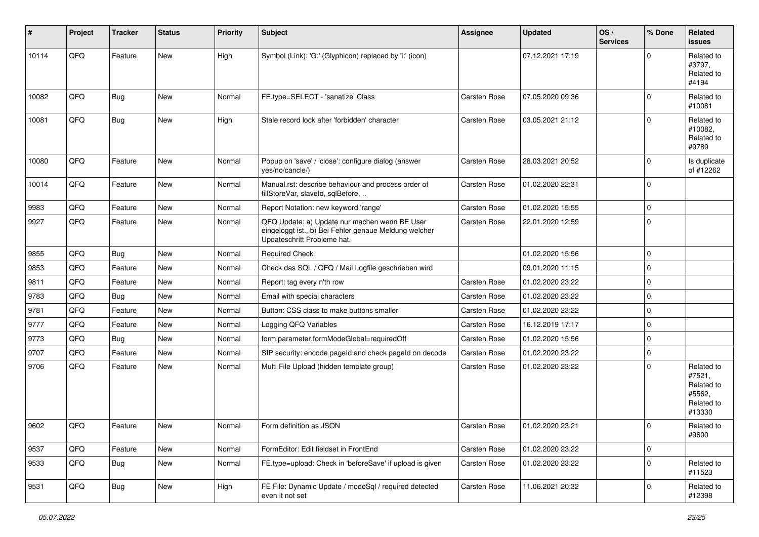| #     | Project | <b>Tracker</b> | <b>Status</b> | <b>Priority</b> | <b>Subject</b>                                                                                                                        | Assignee            | <b>Updated</b>   | OS/<br><b>Services</b> | % Done      | Related<br><b>issues</b>                                             |
|-------|---------|----------------|---------------|-----------------|---------------------------------------------------------------------------------------------------------------------------------------|---------------------|------------------|------------------------|-------------|----------------------------------------------------------------------|
| 10114 | QFQ     | Feature        | <b>New</b>    | High            | Symbol (Link): 'G:' (Glyphicon) replaced by 'i:' (icon)                                                                               |                     | 07.12.2021 17:19 |                        | $\Omega$    | Related to<br>#3797,<br>Related to<br>#4194                          |
| 10082 | QFQ     | <b>Bug</b>     | <b>New</b>    | Normal          | FE.type=SELECT - 'sanatize' Class                                                                                                     | Carsten Rose        | 07.05.2020 09:36 |                        | $\mathbf 0$ | Related to<br>#10081                                                 |
| 10081 | QFQ     | <b>Bug</b>     | <b>New</b>    | High            | Stale record lock after 'forbidden' character                                                                                         | Carsten Rose        | 03.05.2021 21:12 |                        | $\mathbf 0$ | Related to<br>#10082,<br>Related to<br>#9789                         |
| 10080 | QFQ     | Feature        | <b>New</b>    | Normal          | Popup on 'save' / 'close': configure dialog (answer<br>yes/no/cancle/)                                                                | Carsten Rose        | 28.03.2021 20:52 |                        | $\Omega$    | Is duplicate<br>of #12262                                            |
| 10014 | QFQ     | Feature        | <b>New</b>    | Normal          | Manual.rst: describe behaviour and process order of<br>fillStoreVar, slaveId, sqlBefore,                                              | Carsten Rose        | 01.02.2020 22:31 |                        | $\mathbf 0$ |                                                                      |
| 9983  | QFQ     | Feature        | <b>New</b>    | Normal          | Report Notation: new keyword 'range'                                                                                                  | Carsten Rose        | 01.02.2020 15:55 |                        | $\mathbf 0$ |                                                                      |
| 9927  | QFQ     | Feature        | New           | Normal          | QFQ Update: a) Update nur machen wenn BE User<br>eingeloggt ist., b) Bei Fehler genaue Meldung welcher<br>Updateschritt Probleme hat. | <b>Carsten Rose</b> | 22.01.2020 12:59 |                        | $\mathbf 0$ |                                                                      |
| 9855  | QFQ     | <b>Bug</b>     | <b>New</b>    | Normal          | <b>Required Check</b>                                                                                                                 |                     | 01.02.2020 15:56 |                        | $\mathbf 0$ |                                                                      |
| 9853  | QFQ     | Feature        | New           | Normal          | Check das SQL / QFQ / Mail Logfile geschrieben wird                                                                                   |                     | 09.01.2020 11:15 |                        | $\mathbf 0$ |                                                                      |
| 9811  | QFQ     | Feature        | New           | Normal          | Report: tag every n'th row                                                                                                            | <b>Carsten Rose</b> | 01.02.2020 23:22 |                        | $\mathbf 0$ |                                                                      |
| 9783  | QFQ     | Bug            | <b>New</b>    | Normal          | Email with special characters                                                                                                         | Carsten Rose        | 01.02.2020 23:22 |                        | $\mathbf 0$ |                                                                      |
| 9781  | QFQ     | Feature        | <b>New</b>    | Normal          | Button: CSS class to make buttons smaller                                                                                             | <b>Carsten Rose</b> | 01.02.2020 23:22 |                        | $\mathbf 0$ |                                                                      |
| 9777  | QFQ     | Feature        | New           | Normal          | Logging QFQ Variables                                                                                                                 | Carsten Rose        | 16.12.2019 17:17 |                        | $\mathbf 0$ |                                                                      |
| 9773  | QFQ     | <b>Bug</b>     | <b>New</b>    | Normal          | form.parameter.formModeGlobal=requiredOff                                                                                             | Carsten Rose        | 01.02.2020 15:56 |                        | $\mathbf 0$ |                                                                      |
| 9707  | QFQ     | Feature        | <b>New</b>    | Normal          | SIP security: encode pageld and check pageld on decode                                                                                | <b>Carsten Rose</b> | 01.02.2020 23:22 |                        | $\mathbf 0$ |                                                                      |
| 9706  | QFQ     | Feature        | <b>New</b>    | Normal          | Multi File Upload (hidden template group)                                                                                             | <b>Carsten Rose</b> | 01.02.2020 23:22 |                        | $\mathbf 0$ | Related to<br>#7521,<br>Related to<br>#5562,<br>Related to<br>#13330 |
| 9602  | QFQ     | Feature        | New           | Normal          | Form definition as JSON                                                                                                               | <b>Carsten Rose</b> | 01.02.2020 23:21 |                        | $\Omega$    | Related to<br>#9600                                                  |
| 9537  | QFQ     | Feature        | New           | Normal          | FormEditor: Edit fieldset in FrontEnd                                                                                                 | Carsten Rose        | 01.02.2020 23:22 |                        | $\mathbf 0$ |                                                                      |
| 9533  | QFQ     | <b>Bug</b>     | New           | Normal          | FE.type=upload: Check in 'beforeSave' if upload is given                                                                              | Carsten Rose        | 01.02.2020 23:22 |                        | $\mathbf 0$ | Related to<br>#11523                                                 |
| 9531  | QFQ     | <b>Bug</b>     | New           | High            | FE File: Dynamic Update / modeSql / required detected<br>even it not set                                                              | Carsten Rose        | 11.06.2021 20:32 |                        | $\mathbf 0$ | Related to<br>#12398                                                 |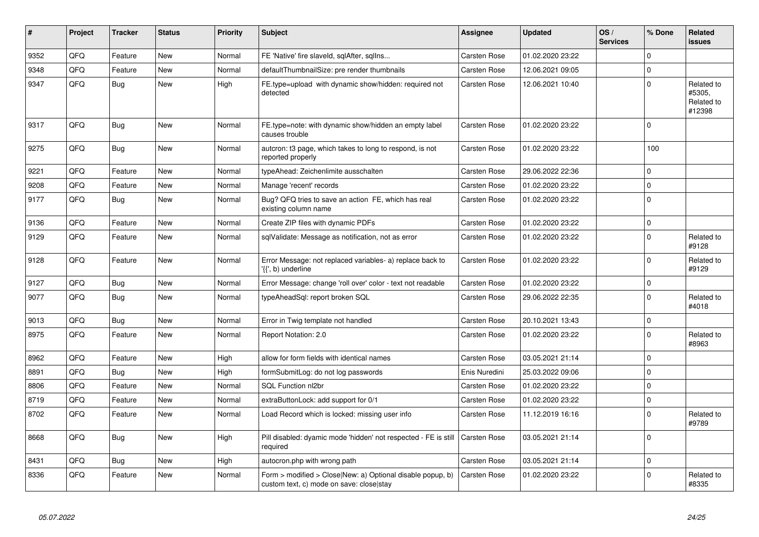| #    | Project | <b>Tracker</b> | <b>Status</b> | <b>Priority</b> | <b>Subject</b>                                                                                         | Assignee            | <b>Updated</b>   | OS/<br><b>Services</b> | % Done      | <b>Related</b><br><b>issues</b>              |
|------|---------|----------------|---------------|-----------------|--------------------------------------------------------------------------------------------------------|---------------------|------------------|------------------------|-------------|----------------------------------------------|
| 9352 | QFQ     | Feature        | <b>New</b>    | Normal          | FE 'Native' fire slaveld, sqlAfter, sqlIns                                                             | <b>Carsten Rose</b> | 01.02.2020 23:22 |                        | 0           |                                              |
| 9348 | QFQ     | Feature        | <b>New</b>    | Normal          | defaultThumbnailSize: pre render thumbnails                                                            | Carsten Rose        | 12.06.2021 09:05 |                        | $\Omega$    |                                              |
| 9347 | QFQ     | <b>Bug</b>     | <b>New</b>    | High            | FE.type=upload with dynamic show/hidden: required not<br>detected                                      | Carsten Rose        | 12.06.2021 10:40 |                        | $\Omega$    | Related to<br>#5305,<br>Related to<br>#12398 |
| 9317 | QFQ     | <b>Bug</b>     | <b>New</b>    | Normal          | FE.type=note: with dynamic show/hidden an empty label<br>causes trouble                                | Carsten Rose        | 01.02.2020 23:22 |                        | $\Omega$    |                                              |
| 9275 | QFQ     | <b>Bug</b>     | <b>New</b>    | Normal          | autcron: t3 page, which takes to long to respond, is not<br>reported properly                          | Carsten Rose        | 01.02.2020 23:22 |                        | 100         |                                              |
| 9221 | QFQ     | Feature        | <b>New</b>    | Normal          | typeAhead: Zeichenlimite ausschalten                                                                   | Carsten Rose        | 29.06.2022 22:36 |                        | $\Omega$    |                                              |
| 9208 | QFQ     | Feature        | <b>New</b>    | Normal          | Manage 'recent' records                                                                                | <b>Carsten Rose</b> | 01.02.2020 23:22 |                        | $\mathbf 0$ |                                              |
| 9177 | QFQ     | <b>Bug</b>     | <b>New</b>    | Normal          | Bug? QFQ tries to save an action FE, which has real<br>existing column name                            | <b>Carsten Rose</b> | 01.02.2020 23:22 |                        | $\Omega$    |                                              |
| 9136 | QFQ     | Feature        | <b>New</b>    | Normal          | Create ZIP files with dynamic PDFs                                                                     | <b>Carsten Rose</b> | 01.02.2020 23:22 |                        | $\mathbf 0$ |                                              |
| 9129 | QFQ     | Feature        | <b>New</b>    | Normal          | sqlValidate: Message as notification, not as error                                                     | Carsten Rose        | 01.02.2020 23:22 |                        | $\Omega$    | Related to<br>#9128                          |
| 9128 | QFQ     | Feature        | <b>New</b>    | Normal          | Error Message: not replaced variables- a) replace back to<br>'{{', b) underline                        | Carsten Rose        | 01.02.2020 23:22 |                        | $\Omega$    | Related to<br>#9129                          |
| 9127 | QFQ     | <b>Bug</b>     | <b>New</b>    | Normal          | Error Message: change 'roll over' color - text not readable                                            | <b>Carsten Rose</b> | 01.02.2020 23:22 |                        | $\Omega$    |                                              |
| 9077 | QFQ     | Bug            | <b>New</b>    | Normal          | typeAheadSql: report broken SQL                                                                        | Carsten Rose        | 29.06.2022 22:35 |                        | 0           | Related to<br>#4018                          |
| 9013 | QFQ     | <b>Bug</b>     | <b>New</b>    | Normal          | Error in Twig template not handled                                                                     | <b>Carsten Rose</b> | 20.10.2021 13:43 |                        | $\Omega$    |                                              |
| 8975 | QFQ     | Feature        | <b>New</b>    | Normal          | Report Notation: 2.0                                                                                   | Carsten Rose        | 01.02.2020 23:22 |                        | $\Omega$    | Related to<br>#8963                          |
| 8962 | QFQ     | Feature        | <b>New</b>    | High            | allow for form fields with identical names                                                             | <b>Carsten Rose</b> | 03.05.2021 21:14 |                        | $\Omega$    |                                              |
| 8891 | QFQ     | <b>Bug</b>     | <b>New</b>    | High            | formSubmitLog: do not log passwords                                                                    | Enis Nuredini       | 25.03.2022 09:06 |                        | $\Omega$    |                                              |
| 8806 | QFQ     | Feature        | <b>New</b>    | Normal          | SQL Function nl2br                                                                                     | <b>Carsten Rose</b> | 01.02.2020 23:22 |                        | $\Omega$    |                                              |
| 8719 | QFQ     | Feature        | New           | Normal          | extraButtonLock: add support for 0/1                                                                   | Carsten Rose        | 01.02.2020 23:22 |                        | 0           |                                              |
| 8702 | QFQ     | Feature        | <b>New</b>    | Normal          | Load Record which is locked: missing user info                                                         | <b>Carsten Rose</b> | 11.12.2019 16:16 |                        | $\Omega$    | Related to<br>#9789                          |
| 8668 | QFQ     | <b>Bug</b>     | <b>New</b>    | High            | Pill disabled: dyamic mode 'hidden' not respected - FE is still<br>required                            | <b>Carsten Rose</b> | 03.05.2021 21:14 |                        | 0           |                                              |
| 8431 | QFQ     | Bug            | <b>New</b>    | High            | autocron.php with wrong path                                                                           | <b>Carsten Rose</b> | 03.05.2021 21:14 |                        | $\Omega$    |                                              |
| 8336 | QFQ     | Feature        | New           | Normal          | Form > modified > Close New: a) Optional disable popup, b)<br>custom text, c) mode on save: close stay | <b>Carsten Rose</b> | 01.02.2020 23:22 |                        | $\Omega$    | Related to<br>#8335                          |